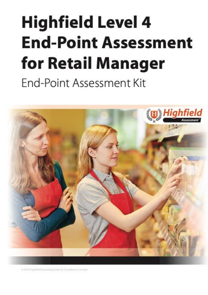# <span id="page-0-2"></span><span id="page-0-1"></span><span id="page-0-0"></span>**Highfield Level 4 End-Point Assessment** for Retail Manager End-Point Assessment Kit



@ 2019 Highliald Awarding Body for Compliance Limited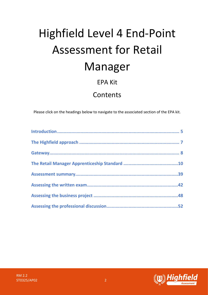# Highfield Level 4 End-Point Assessment for Retail Manager

# EPA Kit

# Contents

Please click on the headings below to navigate to the associated section of the EPA kit.

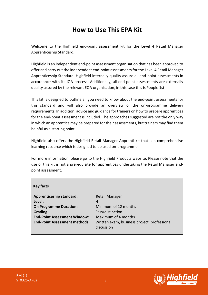# **How to Use This EPA Kit**

Welcome to the Highfield end-point assessment kit for the Level 4 Retail Manager Apprenticeship Standard.

Highfield is an independent end-point assessment organisation that has been approved to offer and carry out the independent end-point assessments for the Level 4 Retail Manager Apprenticeship Standard. Highfield internally quality assure all end-point assessments in accordance with its IQA process. Additionally, all end-point assessments are externally quality assured by the relevant EQA organisation, in this case this is People 1st.

This kit is designed to outline all you need to know about the end-point assessments for this standard and will also provide an overview of the on-programme delivery requirements. In addition, advice and guidance for trainers on how to prepare apprentices for the end-point assessment is included. The approaches suggested are not the only way in which an apprentice may be prepared for their assessments, but trainers may find them helpful as a starting point.

Highfield also offers the Highfield Retail Manager Apprenti-kit that is a comprehensive learning resource which is designed to be used on-programme.

For more information, please go to the Highfield Products website. Please note that the use of this kit is not a prerequisite for apprentices undertaking the Retail Manager endpoint assessment.

| <b>Key facts</b>                     |                                                            |
|--------------------------------------|------------------------------------------------------------|
| <b>Apprenticeship standard:</b>      | <b>Retail Manager</b>                                      |
| Level:                               | 4                                                          |
| <b>On Programme Duration:</b>        | Minimum of 12 months                                       |
| Grading:                             | Pass/distinction                                           |
| <b>End-Point Assessment Window:</b>  | Maximum of 4 months                                        |
| <b>End-Point Assessment methods:</b> | Written exam, business project, professional<br>discussion |

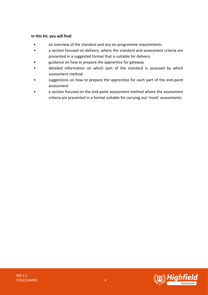## **In this kit, you will find:**

- an overview of the standard and any on-programme requirements
- a section focused on delivery, where the standard and assessment criteria are presented in a suggested format that is suitable for delivery
- guidance on how to prepare the apprentice for gateway
- detailed information on which part of the standard is assessed by which assessment method
- suggestions on how to prepare the apprentice for each part of the end-point assessment
- a section focused on the end-point assessment method where the assessment criteria are presented in a format suitable for carrying out 'mock' assessments

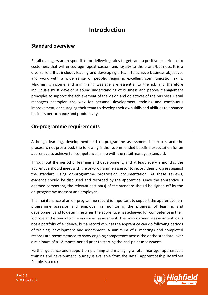# **Introduction**

# <span id="page-4-0"></span>**Standard overview**

Retail managers are responsible for delivering sales targets and a positive experience to customers that will encourage repeat custom and loyalty to the brand/business. It is a diverse role that includes leading and developing a team to achieve business objectives and work with a wide range of people, requiring excellent communication skills. Maximising income and minimising wastage are essential to the job and therefore individuals must develop a sound understanding of business and people management principles to support the achievement of the vision and objectives of the business. Retail managers champion the way for personal development, training and continuous improvement, encouraging their team to develop their own skills and abilities to enhance business performance and productivity.

# **On-programme requirements**

Although learning, development and on-programme assessment is flexible, and the process is not prescribed, the following is the recommended baseline expectation for an apprentice to achieve full competence in line with the retail manager standard.

Throughout the period of learning and development, and at least every 2 months, the apprentice should meet with the on-programme assessor to record their progress against the standard using on-programme progression documentation. At these reviews, evidence should be discussed and recorded by the apprentice. Once the apprentice is deemed competent, the relevant section(s) of the standard should be signed off by the on-programme assessor and employer.

The maintenance of an on-programme record is important to support the apprentice, onprogramme assessor and employer in monitoring the progress of learning and development and to determine when the apprentice has achieved full competence in their job role and is ready for the end-point assessment. The on-programme assessment log is **not** a portfolio of evidence, but a record of what the apprentice can do following periods of training, development and assessment. A minimum of 6 meetings and completed records are recommended to show ongoing competence across the entire standard, over a minimum of a 12-month period prior to starting the end-point assessment.

Further guidance and support on planning and managing a retail manager apprentice's training and development journey is available from the Retail Apprenticeship Board via People1st.co.uk.

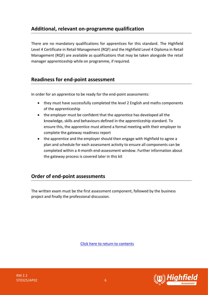# **Additional, relevant on-programme qualification**

There are no mandatory qualifications for apprentices for this standard. The Highfield Level 4 Certificate in Retail Management (RQF) and the Highfield Level 4 Diploma in Retail Management (RQF) are available as qualifications that may be taken alongside the retail manager apprenticeship while on programme, if required.

# **Readiness for end-point assessment**

In order for an apprentice to be ready for the end-point assessments:

- they must have successfully completed the level 2 English and maths components of the apprenticeship
- the employer must be confident that the apprentice has developed all the knowledge, skills and behaviours defined in the apprenticeship standard. To ensure this, the apprentice must attend a formal meeting with their employer to complete the gateway readiness report
- the apprentice and the employer should then engage with Highfield to agree a plan and schedule for each assessment activity to ensure all components can be completed within a 4-month end-assessment window. Further information about the gateway process is covered later in this kit

# **Order of end-point assessments**

The written exam must be the first assessment component, followed by the business project and finally the professional discussion.

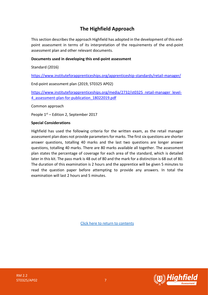# **The Highfield Approach**

<span id="page-6-0"></span>This section describes the approach Highfield has adopted in the development of this endpoint assessment in terms of its interpretation of the requirements of the end-point assessment plan and other relevant documents.

## **Documents used in developing this end-point assessment**

Standard (2016)

<https://www.instituteforapprenticeships.org/apprenticeship-standards/retail-manager/>

End-point assessment plan (2019, ST0325 AP02)

[https://www.instituteforapprenticeships.org/media/2732/st0325\\_retail-manager\\_level-](https://www.instituteforapprenticeships.org/media/2732/st0325_retail-manager_level-4_assessment-plan-for-publication_18022019.pdf)[4\\_assessment-plan-for-publication\\_18022019.pdf](https://www.instituteforapprenticeships.org/media/2732/st0325_retail-manager_level-4_assessment-plan-for-publication_18022019.pdf)

Common approach

People 1st – Edition 2, September 2017

## **Special Considerations**

Highfield has used the following criteria for the written exam, as the retail manager assessment plan does not provide parameters for marks. The first six questions are shorter answer questions, totalling 40 marks and the last two questions are longer answer questions, totalling 40 marks. There are 80 marks available all together. The assessment plan states the percentage of coverage for each area of the standard, which is detailed later in this kit. The pass mark is 48 out of 80 and the mark for a distinction is 68 out of 80. The duration of this examination is 2 hours and the apprentice will be given 5 minutes to read the question paper before attempting to provide any answers. In total the examination will last 2 hours and 5 minutes.

<span id="page-6-1"></span>

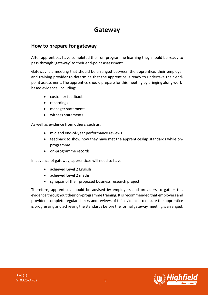# **Gateway**

# **How to prepare for gateway**

After apprentices have completed their on-programme learning they should be ready to pass through 'gateway' to their end-point assessment.

Gateway is a meeting that should be arranged between the apprentice, their employer and training provider to determine that the apprentice is ready to undertake their endpoint assessment. The apprentice should prepare for this meeting by bringing along workbased evidence, including:

- customer feedback
- recordings
- manager statements
- witness statements

As well as evidence from others, such as:

- mid and end-of-year performance reviews
- feedback to show how they have met the apprenticeship standards while onprogramme
- on-programme records

In advance of gateway, apprentices will need to have:

- achieved Level 2 English
- achieved Level 2 maths
- synopsis of their proposed business research project

Therefore, apprentices should be advised by employers and providers to gather this evidence throughout their on-programme training. It is recommended that employers and providers complete regular checks and reviews of this evidence to ensure the apprentice is progressing and achieving the standards before the formal gateway meeting is arranged.



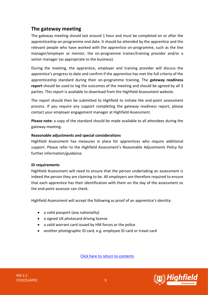# **The gateway meeting**

The gateway meeting should last around 1 hour and must be completed on or after the apprenticeship on-programme end date. It should be attended by the apprentice and the relevant people who have worked with the apprentice on-programme, such as the line manager/employer or mentor, the on-programme trainer/training provider and/or a senior manager (as appropriate to the business).

During the meeting, the apprentice, employer and training provider will discuss the apprentice's progress to date and confirm if the apprentice has met the full criteria of the apprenticeship standard during their on-programme training. The **gateway readiness report** should be used to log the outcomes of the meeting and should be agreed by all 3 parties. This report is available to download from the Highfield Assessment website.

The report should then be submitted to Highfield to initiate the end-point assessment process. If you require any support completing the gateway readiness report, please contact your employer engagement manager at Highfield Assessment.

**Please note:** a copy of the standard should be made available to all attendees during the gateway meeting.

## **Reasonable adjustments and special considerations**

Highfield Assessment has measures in place for apprentices who require additional support. Please refer to the Highfield Assessment's Reasonable Adjustments Policy for further information/guidance.

## **ID requirements**

Highfield Assessment will need to ensure that the person undertaking an assessment is indeed the person they are claiming to be. All employers are therefore required to ensure that each apprentice has their identification with them on the day of the assessment so the end-point assessor can check.

Highfield Assessment will accept the following as proof of an apprentice's identity:

- a valid passport (any nationality)
- a signed UK photocard driving license
- a valid warrant card issued by HM forces or the police
- another photographic ID card, e.g. employee ID card or travel card

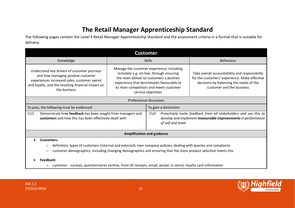# **The Retail Manager Apprenticeship Standard**

The following pages contain the Level 4 Retail Manager Apprenticeship Standard and the assessment criteria in a format that is suitable for delivery.

<span id="page-9-0"></span>

| <b>Customer</b>                                                                                                                                                                                                                                                                                                                                                                                                                |                                                                                                                                                                                                                                               |                                     |                                                                                                                                                                         |
|--------------------------------------------------------------------------------------------------------------------------------------------------------------------------------------------------------------------------------------------------------------------------------------------------------------------------------------------------------------------------------------------------------------------------------|-----------------------------------------------------------------------------------------------------------------------------------------------------------------------------------------------------------------------------------------------|-------------------------------------|-------------------------------------------------------------------------------------------------------------------------------------------------------------------------|
| Knowledge                                                                                                                                                                                                                                                                                                                                                                                                                      |                                                                                                                                                                                                                                               | <b>Skills</b>                       | Behaviour                                                                                                                                                               |
| Understand key drivers of customer journeys<br>and how managing positive customer<br>experiences increased sales, customer spend<br>and loyalty, and the resulting financial impact on<br>the business                                                                                                                                                                                                                         | Manage the customer experience, including<br>remotely e.g. on-line, through ensuring<br>the team deliver to customers a positive<br>experience that benchmarks favourably to<br>its main competitors and meets customer<br>service objectives |                                     | Take overall accountability and responsibility<br>for the customers' experience. Make effective<br>decisions by balancing the needs of the<br>customer and the business |
|                                                                                                                                                                                                                                                                                                                                                                                                                                |                                                                                                                                                                                                                                               | Professional discussion             |                                                                                                                                                                         |
| To pass, the following must be evidenced                                                                                                                                                                                                                                                                                                                                                                                       |                                                                                                                                                                                                                                               | To gain a distinction               |                                                                                                                                                                         |
| CU1<br>Demonstrate how feedback has been sought from managers and<br>customers and how this has been effectively dealt with                                                                                                                                                                                                                                                                                                    |                                                                                                                                                                                                                                               | CU <sub>2</sub><br>of self and team | Proactively invite feedback from all stakeholders and use this to<br>develop and implement measurable improvements in performance                                       |
|                                                                                                                                                                                                                                                                                                                                                                                                                                |                                                                                                                                                                                                                                               | <b>Amplification and guidance</b>   |                                                                                                                                                                         |
| <b>Customers:</b><br>definition, types of customers (internal and external), own company policies, dealing with queries and complaints<br>$\circ$<br>customer demographics, including changing demographics and ensuring that the store product selection meets this<br>$\circ$<br>Feedback:<br>customer - surveys, questionnaires (online, front till receipts, email, postal, in store), loyalty card information<br>$\circ$ |                                                                                                                                                                                                                                               |                                     |                                                                                                                                                                         |

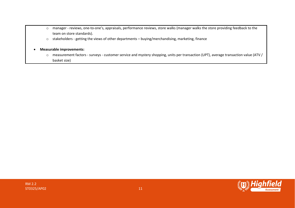- o manager reviews, one-to-one's, appraisals, performance reviews, store walks (manager walks the store providing feedback to the team on store standards).
- o stakeholders getting the views of other departments buying/merchandising, marketing, finance

#### • **Measurable improvements:**

o measurement factors - surveys - customer service and mystery shopping, units per transaction (UPT), average transaction value (ATV / basket size)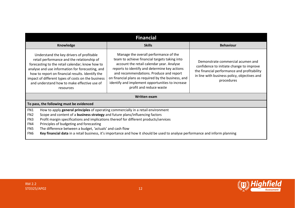| <b>Financial</b>                                                                                                                                                                                                                                                                                                                                                                                                                                                                                                                                                                                                                                                                                                                             |               |                                                                                                                                                                                            |  |  |  |
|----------------------------------------------------------------------------------------------------------------------------------------------------------------------------------------------------------------------------------------------------------------------------------------------------------------------------------------------------------------------------------------------------------------------------------------------------------------------------------------------------------------------------------------------------------------------------------------------------------------------------------------------------------------------------------------------------------------------------------------------|---------------|--------------------------------------------------------------------------------------------------------------------------------------------------------------------------------------------|--|--|--|
| Knowledge                                                                                                                                                                                                                                                                                                                                                                                                                                                                                                                                                                                                                                                                                                                                    | <b>Skills</b> | <b>Behaviour</b>                                                                                                                                                                           |  |  |  |
| Manage the overall performance of the<br>Understand the key drivers of profitable<br>team to achieve financial targets taking into<br>retail performance and the relationship of<br>account the retail calendar year. Analyse<br>forecasting to the retail calendar; know how to<br>reports to identify and determine key actions<br>analyse and use information for forecasting, and<br>and recommendations. Produce and report<br>how to report on financial results. Identify the<br>on financial plans as required by the business, and<br>impact of different types of costs on the business<br>identify and implement opportunities to increase<br>and understand how to make effective use of<br>profit and reduce waste<br>resources |               | Demonstrate commercial acumen and<br>confidence to initiate change to improve<br>the financial performance and profitability<br>in line with business policy, objectives and<br>procedures |  |  |  |
| <b>Written exam</b>                                                                                                                                                                                                                                                                                                                                                                                                                                                                                                                                                                                                                                                                                                                          |               |                                                                                                                                                                                            |  |  |  |
| To pass, the following must be evidenced                                                                                                                                                                                                                                                                                                                                                                                                                                                                                                                                                                                                                                                                                                     |               |                                                                                                                                                                                            |  |  |  |
| FN1<br>How to apply general principles of operating commercially in a retail environment<br>Scope and content of a business strategy and future plans/influencing factors<br>FN <sub>2</sub><br>Profit margin specifications and implications thereof for different products/services<br>FN <sub>3</sub><br>Principles of budgeting and forecasting<br>FN4<br>The difference between a budget, 'actuals' and cash flow<br>FN <sub>5</sub><br>FN <sub>6</sub><br>Key financial data in a retail business, it's importance and how it should be used to analyse performance and inform planning                                                                                                                                                |               |                                                                                                                                                                                            |  |  |  |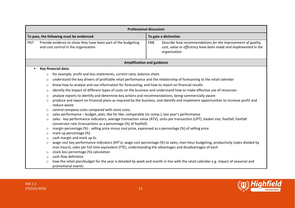| <b>Professional discussion</b> |                                                                                                                                                                                                                                                            |                                                                                                                                                                                                     |                 |                                                                                                                                                 |
|--------------------------------|------------------------------------------------------------------------------------------------------------------------------------------------------------------------------------------------------------------------------------------------------------|-----------------------------------------------------------------------------------------------------------------------------------------------------------------------------------------------------|-----------------|-------------------------------------------------------------------------------------------------------------------------------------------------|
|                                |                                                                                                                                                                                                                                                            | To pass, the following must be evidenced                                                                                                                                                            |                 | To gain a distinction                                                                                                                           |
| FN7                            |                                                                                                                                                                                                                                                            | Provide evidence to show they have been part of the budgeting<br>and cost control in the organisation                                                                                               | FN <sub>8</sub> | Describe how recommendations for the improvement of quality,<br>cost, value or efficiency have been made and implemented in the<br>organisation |
|                                |                                                                                                                                                                                                                                                            | <b>Amplification and guidance</b>                                                                                                                                                                   |                 |                                                                                                                                                 |
| $\bullet$                      |                                                                                                                                                                                                                                                            | Key financial data:                                                                                                                                                                                 |                 |                                                                                                                                                 |
|                                | $\circ$                                                                                                                                                                                                                                                    | for example, profit and loss statements, current ratio, balance sheet                                                                                                                               |                 |                                                                                                                                                 |
|                                | $\circ$                                                                                                                                                                                                                                                    | understand the key drivers of profitable retail performance and the relationship of forecasting to the retail calendar                                                                              |                 |                                                                                                                                                 |
|                                | $\circ$                                                                                                                                                                                                                                                    | know how to analyse and use information for forecasting, and how to report on financial results                                                                                                     |                 |                                                                                                                                                 |
|                                | $\circ$                                                                                                                                                                                                                                                    | identify the impact of different types of costs on the business and understand how to make effective use of resources                                                                               |                 |                                                                                                                                                 |
|                                | $\circ$                                                                                                                                                                                                                                                    | analyse reports to identify and determine key actions and recommendations, being commercially aware                                                                                                 |                 |                                                                                                                                                 |
|                                | produce and report on financial plans as required by the business, and identify and implement opportunities to increase profit and<br>$\circ$<br>reduce waste                                                                                              |                                                                                                                                                                                                     |                 |                                                                                                                                                 |
|                                | $\circ$                                                                                                                                                                                                                                                    | central company costs compared with store costs.                                                                                                                                                    |                 |                                                                                                                                                 |
|                                | $\circ$                                                                                                                                                                                                                                                    | sales performance - budget, plan, like for like, comparable (or comp.), last year's performance                                                                                                     |                 |                                                                                                                                                 |
|                                | $\circ$                                                                                                                                                                                                                                                    | sales - key performance indicators, average transaction value (ATV), units per transaction (UPT), basket size, footfall, footfall<br>conversion rate (transactions as a percentage (%) of footfall) |                 |                                                                                                                                                 |
|                                | $\circ$                                                                                                                                                                                                                                                    | margin percentage (%) - selling price minus cost price, expressed as a percentage (%) of selling price                                                                                              |                 |                                                                                                                                                 |
|                                | $\circ$                                                                                                                                                                                                                                                    | mark up percentage (%)                                                                                                                                                                              |                 |                                                                                                                                                 |
|                                | cash margin and mark up £s<br>$\circ$                                                                                                                                                                                                                      |                                                                                                                                                                                                     |                 |                                                                                                                                                 |
|                                | wage cost key performance indicators (KPI's), wage cost percentage (%) to sales, man-hour budgeting, productivity (sales divided by<br>$\circ$<br>man hours), sales per full time equivalent (FTE), understanding the advantages and disadvantages of each |                                                                                                                                                                                                     |                 |                                                                                                                                                 |
|                                | $\circ$                                                                                                                                                                                                                                                    | stock loss percentage (%) calculation                                                                                                                                                               |                 |                                                                                                                                                 |
|                                | $\circ$                                                                                                                                                                                                                                                    | cash flow definition                                                                                                                                                                                |                 |                                                                                                                                                 |
|                                | $\circ$                                                                                                                                                                                                                                                    | promotional events                                                                                                                                                                                  |                 | how the retail plan/budget for the year is detailed by week and month in line with the retail calendar e.g. impact of seasonal and              |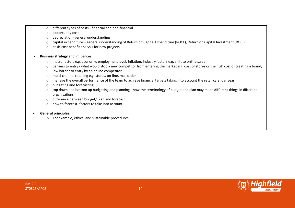- o different types of costs financial and non-financial
- o opportunity cost
- o depreciation- general understanding
- o capital expenditure general understanding of Return on Capital Expenditure (ROCE), Return on Capital Investment (ROCI)
- o basic cost benefit analysis for new projects
- **Business strategy** and influences:
	- o macro factors e.g. economy, employment level, inflation, industry factors e.g. shift to online sales
	- o barriers to entry what would stop a new competitor from entering the market e.g. cost of stores or the high cost of creating a brand, low barrier to entry by an online competitor
	- o multi-channel retailing e.g. stores, on-line, mail order
	- o manage the overall performance of the team to achieve financial targets taking into account the retail calendar year
	- o budgeting and forecasting
	- o top down and bottom up budgeting and planning how the terminology of budget and plan may mean different things in different organisations
	- o difference between budget/ plan and forecast
	- $\circ$  how to forecast- factors to take into account

#### • **General principles:**

o For example, ethical and sustainable procedures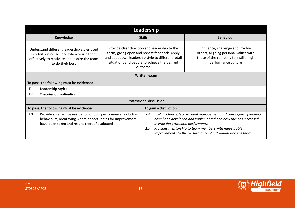|                                                                                                                                                                                                                                                                                                                                                                     | Leadership       |                                |                                  |                                                                                                                                                                                                                                                           |                  |
|---------------------------------------------------------------------------------------------------------------------------------------------------------------------------------------------------------------------------------------------------------------------------------------------------------------------------------------------------------------------|------------------|--------------------------------|----------------------------------|-----------------------------------------------------------------------------------------------------------------------------------------------------------------------------------------------------------------------------------------------------------|------------------|
|                                                                                                                                                                                                                                                                                                                                                                     | <b>Knowledge</b> |                                | <b>Skills</b>                    |                                                                                                                                                                                                                                                           | <b>Behaviour</b> |
| Provide clear direction and leadership to the<br>Understand different leadership styles used<br>team, giving open and honest feedback. Apply<br>in retail businesses and when to use them<br>and adapt own leadership style to different retail<br>effectively to motivate and inspire the team<br>situations and people to achieve the desired<br>to do their best |                  | outcome                        |                                  | Influence, challenge and involve<br>others, aligning personal values with<br>those of the company to instil a high<br>performance culture                                                                                                                 |                  |
| <b>Written exam</b>                                                                                                                                                                                                                                                                                                                                                 |                  |                                |                                  |                                                                                                                                                                                                                                                           |                  |
| To pass, the following must be evidenced                                                                                                                                                                                                                                                                                                                            |                  |                                |                                  |                                                                                                                                                                                                                                                           |                  |
| LE1<br>Leadership styles                                                                                                                                                                                                                                                                                                                                            |                  |                                |                                  |                                                                                                                                                                                                                                                           |                  |
| LE <sub>2</sub><br><b>Theories of motivation</b>                                                                                                                                                                                                                                                                                                                    |                  |                                |                                  |                                                                                                                                                                                                                                                           |                  |
|                                                                                                                                                                                                                                                                                                                                                                     |                  | <b>Professional discussion</b> |                                  |                                                                                                                                                                                                                                                           |                  |
| To pass, the following must be evidenced                                                                                                                                                                                                                                                                                                                            |                  |                                |                                  | To gain a distinction                                                                                                                                                                                                                                     |                  |
| Provide an effective evaluation of own performance, including<br>LE3<br>behaviours, identifying where opportunities for improvement<br>have been taken and results thereof evaluated                                                                                                                                                                                |                  | LE4<br>LE5                     | overall departmental performance | Explains how effective retail management and contingency planning<br>have been developed and implemented and how this has increased<br>Provides mentorship to team members with measurable<br>improvements to the performance of individuals and the team |                  |

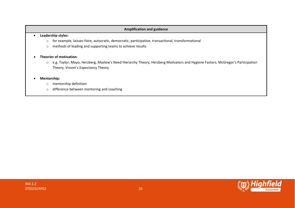#### **Amplification and guidance**

#### • **Leadership styles:**

- o for example, laissez-faire, autocratic, democratic, participative, transactional, transformational
- o methods of leading and supporting teams to achieve results

#### • **Theories of motivation:**

o e.g. Taylor, Mayo, Herzberg, Maslow's Need Hierarchy Theory, Herzberg Motivators and Hygiene Factors, McGregor's Participation Theory, Vroom's Expectancy Theory

#### • **Mentorship:**

- o mentorship definition
- o difference between mentoring and coaching

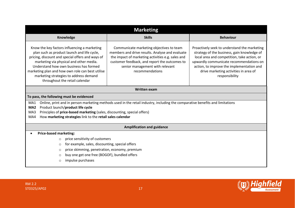| <b>Marketing</b>                                                                                                                                                                                                                                                                                                                                                     |                                                                                                                                                                                                                                                         |                                                                                                                                                                                                                                                                                               |  |  |  |
|----------------------------------------------------------------------------------------------------------------------------------------------------------------------------------------------------------------------------------------------------------------------------------------------------------------------------------------------------------------------|---------------------------------------------------------------------------------------------------------------------------------------------------------------------------------------------------------------------------------------------------------|-----------------------------------------------------------------------------------------------------------------------------------------------------------------------------------------------------------------------------------------------------------------------------------------------|--|--|--|
| Knowledge                                                                                                                                                                                                                                                                                                                                                            | <b>Skills</b>                                                                                                                                                                                                                                           | <b>Behaviour</b>                                                                                                                                                                                                                                                                              |  |  |  |
| Know the key factors influencing a marketing<br>plan such as product launch and life cycle,<br>pricing, discount and special offers and ways of<br>marketing via physical and other media.<br>Understand how own business has formed<br>marketing plan and how own role can best utilise<br>marketing strategies to address demand<br>throughout the retail calendar | Communicate marketing objectives to team<br>members and drive results. Analyse and evaluate<br>the impact of marketing activities e.g. sales and<br>customer feedback, and report the outcomes to<br>senior management with relevant<br>recommendations | Proactively seek to understand the marketing<br>strategy of the business, gain knowledge of<br>local area and competition, take action, or<br>upwardly communicate recommendations on<br>action, to improve the implementation and<br>drive marketing activities in area of<br>responsibility |  |  |  |
|                                                                                                                                                                                                                                                                                                                                                                      | <b>Written exam</b>                                                                                                                                                                                                                                     |                                                                                                                                                                                                                                                                                               |  |  |  |
| To pass, the following must be evidenced                                                                                                                                                                                                                                                                                                                             |                                                                                                                                                                                                                                                         |                                                                                                                                                                                                                                                                                               |  |  |  |
| MA1<br>Product launch/product life cycle<br>MA <sub>2</sub><br>Principles of price-based marketing (sales, discounting, special offers)<br>MA3<br>How marketing strategies link to the retail sales calendar<br>MA4                                                                                                                                                  | Online, print and in person marketing methods used in the retail industry, including the comparative benefits and limitations                                                                                                                           |                                                                                                                                                                                                                                                                                               |  |  |  |
| <b>Amplification and guidance</b>                                                                                                                                                                                                                                                                                                                                    |                                                                                                                                                                                                                                                         |                                                                                                                                                                                                                                                                                               |  |  |  |
| <b>Price-based marketing:</b><br>price sensitivity of customers<br>$\circ$<br>for example, sales, discounting, special offers<br>$\circ$<br>price skimming, penetration, economy, premium<br>O<br>buy one get one free (BOGOF), bundled offers<br>O<br>impulse purchases<br>O                                                                                        |                                                                                                                                                                                                                                                         |                                                                                                                                                                                                                                                                                               |  |  |  |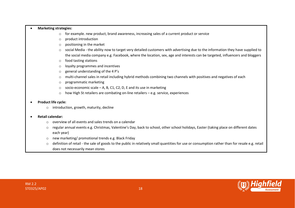#### • **Marketing strategies:**

- $\circ$  for example. new product, brand awareness, increasing sales of a current product or service
- o product introduction
- o positioning in the market
- o social Media the ability now to target very detailed customers with advertising due to the information they have supplied to the social media company e.g. Facebook, where the location, sex, age and interests can be targeted, influencers and bloggers
- o food tasting stations
- o loyalty programmes and incentives
- $\circ$  general understanding of the 4 P's
- o multi-channel sales in retail including hybrid methods combining two channels with positives and negatives of each
- o programmatic marketing
- $\circ$  socio-economic scale A, B, C1, C2, D, E and its use in marketing
- $\circ$  how High St retailers are combating on-line retailers e.g. service, experiences

#### • **Product life cycle:**

o introduction, growth, maturity, decline

#### • **Retail calendar:**

- o overview of all events and sales trends on a calendar
- $\circ$  regular annual events e.g. Christmas, Valentine's Day, back to school, other school holidays, Easter (taking place on different dates each year)
- o new marketing/ promotional trends e.g. Black Friday
- o definition of retail the sale of goods to the public in relatively small quantities for use or consumption rather than for resale e.g. retail does not necessarily mean stores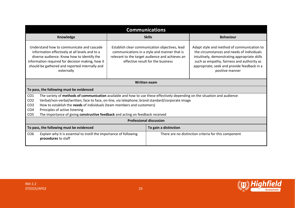|                                                                                                                                                                                                                                                                                                                                                                                                                       | <b>Communications</b> |                                                                                                                                                                                        |                                                                                                                                                                                                                                                           |                  |  |
|-----------------------------------------------------------------------------------------------------------------------------------------------------------------------------------------------------------------------------------------------------------------------------------------------------------------------------------------------------------------------------------------------------------------------|-----------------------|----------------------------------------------------------------------------------------------------------------------------------------------------------------------------------------|-----------------------------------------------------------------------------------------------------------------------------------------------------------------------------------------------------------------------------------------------------------|------------------|--|
|                                                                                                                                                                                                                                                                                                                                                                                                                       | Knowledge             |                                                                                                                                                                                        | <b>Skills</b>                                                                                                                                                                                                                                             | <b>Behaviour</b> |  |
| Understand how to communicate and cascade<br>information effectively at all levels and to a<br>diverse audience. Know how to identify the<br>information required for decision making, how it<br>should be gathered and reported internally and<br>externally                                                                                                                                                         |                       | Establish clear communication objectives, lead<br>communications in a style and manner that is<br>relevant to the target audience and achieves an<br>effective result for the business | Adapt style and method of communication to<br>the circumstances and needs of individuals<br>intuitively, demonstrating appropriate skills<br>such as empathy, fairness and authority as<br>appropriate; seek and provide feedback in a<br>positive manner |                  |  |
|                                                                                                                                                                                                                                                                                                                                                                                                                       |                       |                                                                                                                                                                                        | <b>Written exam</b>                                                                                                                                                                                                                                       |                  |  |
| To pass, the following must be evidenced                                                                                                                                                                                                                                                                                                                                                                              |                       |                                                                                                                                                                                        |                                                                                                                                                                                                                                                           |                  |  |
| CO <sub>1</sub><br>The variety of methods of communication available and how to use these effectively depending on the situation and audience<br>CO <sub>2</sub><br>Verbal/non-verbal/written, face to face, on-line, via telephone, brand standard/corporate image<br>How to establish the needs of individuals (team members and customers)<br>CO <sub>3</sub><br>CO <sub>4</sub><br>Principles of active listening |                       |                                                                                                                                                                                        |                                                                                                                                                                                                                                                           |                  |  |
| CO <sub>5</sub><br>The importance of giving constructive feedback and acting on feedback received<br><b>Professional discussion</b>                                                                                                                                                                                                                                                                                   |                       |                                                                                                                                                                                        |                                                                                                                                                                                                                                                           |                  |  |
| To pass, the following must be evidenced                                                                                                                                                                                                                                                                                                                                                                              |                       |                                                                                                                                                                                        | To gain a distinction                                                                                                                                                                                                                                     |                  |  |
| CO <sub>6</sub><br>Explain why it is essential to instill the importance of following<br>procedures to staff                                                                                                                                                                                                                                                                                                          |                       |                                                                                                                                                                                        | There are no distinction criteria for this component                                                                                                                                                                                                      |                  |  |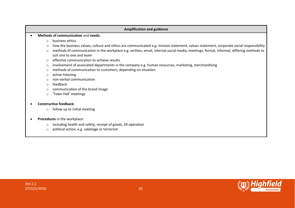# **Amplification and guidance** • **Methods of communication** and **needs:** o business ethics o how the business values, culture and ethics are communicated e.g. mission statement, values statement, corporate social responsibility o methods of communication in the workplace e.g. written, email, internal social media, meetings, formal, informal, differing methods to suit one to one and team  $\circ$  effective communication to achieve results o involvement of associated departments in the company e.g. human resources, marketing, merchandising o methods of communication to customers, depending on situation o active listening o non-verbal communication o feedback o communication of the brand image o 'Town Hall' meetings • **Constructive feedback:**  $\circ$  follow up to initial meeting

#### • **Procedures** in the workplace:

- o including health and safety, receipt of goods, till operation
- o political action, e.g. sabotage or terrorism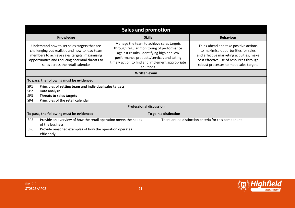|                                                                                                                                                                                                                                       | <b>Sales and promotion</b>                                             |                                                                                                                                                                                                                                                |                                                                                                                                                                                                               |                  |  |
|---------------------------------------------------------------------------------------------------------------------------------------------------------------------------------------------------------------------------------------|------------------------------------------------------------------------|------------------------------------------------------------------------------------------------------------------------------------------------------------------------------------------------------------------------------------------------|---------------------------------------------------------------------------------------------------------------------------------------------------------------------------------------------------------------|------------------|--|
|                                                                                                                                                                                                                                       | Knowledge                                                              |                                                                                                                                                                                                                                                | <b>Skills</b>                                                                                                                                                                                                 | <b>Behaviour</b> |  |
| Understand how to set sales targets that are<br>challenging but realistic and how to lead team<br>members to achieve sales targets, maximising<br>opportunities and reducing potential threats to<br>sales across the retail calendar |                                                                        | Manage the team to achieve sales targets<br>through regular monitoring of performance<br>against results, identifying high and low<br>performance products/services and taking<br>timely action to find and implement appropriate<br>solutions | Think ahead and take positive actions<br>to maximise opportunities for sales<br>and effective marketing activities, make<br>cost effective use of resources through<br>robust processes to meet sales targets |                  |  |
| <b>Written exam</b>                                                                                                                                                                                                                   |                                                                        |                                                                                                                                                                                                                                                |                                                                                                                                                                                                               |                  |  |
|                                                                                                                                                                                                                                       | To pass, the following must be evidenced                               |                                                                                                                                                                                                                                                |                                                                                                                                                                                                               |                  |  |
| SP <sub>1</sub>                                                                                                                                                                                                                       | Principles of setting team and individual sales targets                |                                                                                                                                                                                                                                                |                                                                                                                                                                                                               |                  |  |
| SP <sub>2</sub>                                                                                                                                                                                                                       | Data analysis                                                          |                                                                                                                                                                                                                                                |                                                                                                                                                                                                               |                  |  |
| SP <sub>3</sub>                                                                                                                                                                                                                       | Threats to sales targets                                               |                                                                                                                                                                                                                                                |                                                                                                                                                                                                               |                  |  |
| SP4                                                                                                                                                                                                                                   | Principles of the retail calendar                                      |                                                                                                                                                                                                                                                |                                                                                                                                                                                                               |                  |  |
|                                                                                                                                                                                                                                       | <b>Professional discussion</b>                                         |                                                                                                                                                                                                                                                |                                                                                                                                                                                                               |                  |  |
| To pass, the following must be evidenced                                                                                                                                                                                              |                                                                        | To gain a distinction                                                                                                                                                                                                                          |                                                                                                                                                                                                               |                  |  |
| SP <sub>5</sub><br>Provide an overview of how the retail operation meets the needs<br>of the business                                                                                                                                 |                                                                        |                                                                                                                                                                                                                                                | There are no distinction criteria for this component                                                                                                                                                          |                  |  |
| SP <sub>6</sub>                                                                                                                                                                                                                       | Provide reasoned examples of how the operation operates<br>efficiently |                                                                                                                                                                                                                                                |                                                                                                                                                                                                               |                  |  |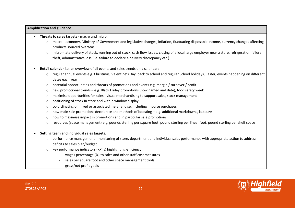#### **Amplification and guidance**

- **Threats to sales targets**  macro and micro:
	- o macro **-** economy, Ministry of Government and legislative changes, inflation, fluctuating disposable income, currency changes affecting products sourced overseas
	- o micro late delivery of stock, running out of stock, cash flow issues, closing of a local large employer near a store, refrigeration failure, theft, administrative loss (i.e. failure to declare a delivery discrepancy etc.)
- **Retail calendar** i.e. an overview of all events and sales trends on a calendar:
	- o regular annual events e.g. Christmas, Valentine's Day, back to school and regular School holidays, Easter, events happening on different dates each year
	- $\circ$  potential opportunities and threats of promotions and events e.g. margin / turnover / profit
	- $\circ$  new promotional trends e.g. Black Friday promotions (how named and date), food safety week
	- $\circ$  maximise opportunities for sales visual merchandising to support sales, stock management
	- o positioning of stock in store and within window display
	- $\circ$  co-ordinating of linked or associated merchandise, including impulse purchases
	- o how main sale promotions decelerate and methods of boosting e.g. additional markdowns, last days
	- o how to maximise impact in promotions and in particular sale promotions
	- o resources (space management) e.g. pounds sterling per square foot, pound sterling per linear foot, pound sterling per shelf space
- **Setting team and individual sales targets:**
	- $\circ$  performance management monitoring of store, department and individual sales performance with appropriate action to address deficits to sales plan/budget
	- o key performance indicators (KPI's) highlighting efficiency
		- wages percentage (%) to sales and other staff cost measures
		- sales per square foot and other space management tools
		- gross/net profit goals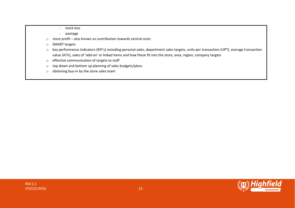- stock loss
- wastage
- o store profit also known as contribution towards central costs
- o SMART targets
- o key performance indicators (KPI's) including personal sales, department sales targets, units per transaction (UPT), average transaction value (ATV), sales of 'add-on' or linked items and how these fit into the store, area, region, company targets
- o effective communication of targets to staff
- o top down and bottom up planning of sales budgets/plans
- o obtaining buy-in by the store sales team

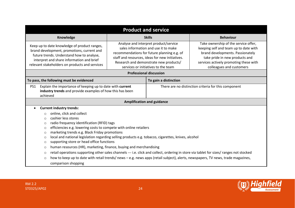| Knowledge<br><b>Behaviour</b><br><b>Skills</b><br>Analyse and interpret product/service<br>Take ownership of the service offer,<br>Keep up to date knowledge of product ranges,<br>sales information and use it to make<br>keeping self and team up to date with<br>brand development, promotions, current and<br>brand developments. Passionately<br>recommendations for future planning e.g. of<br>future trends. Understand how to analyse,<br>staff and resources, ideas for new initiatives.<br>take pride in new products and<br>interpret and share information and brief<br>Research and demonstrate new products/<br>services actively promoting these with<br>relevant stakeholders on products and services<br>services or initiatives to the team<br>colleagues and customers<br><b>Professional discussion</b><br>To pass, the following must be evidenced<br>To gain a distinction<br>Explain the importance of keeping up to date with current<br>PS1<br>There are no distinction criteria for this component<br>industry trends and provide examples of how this has been<br>achieved<br><b>Amplification and guidance</b><br><b>Current industry trends:</b><br>online, click and collect<br>$\circ$<br>cashier less stores<br>$\Omega$<br>radio frequency identification (RFID) tags<br>$\circ$<br>efficiencies e.g. lowering costs to compete with online retailers<br>$\circ$<br>marketing trends e.g. Black Friday promotions<br>$\circ$<br>local and national legislation regarding selling products e.g. tobacco, cigarettes, knives, alcohol<br>$\circ$<br>supporting store or head office functions<br>$\circ$<br>human resources (HR), marketing, finance, buying and merchandising<br>$\circ$<br>retail operations supporting other sales channels --- i.e. click and collect, ordering in store via tablet for sizes/ ranges not stocked<br>$\circ$ | <b>Product and service</b>                                                                                                                 |  |  |  |
|---------------------------------------------------------------------------------------------------------------------------------------------------------------------------------------------------------------------------------------------------------------------------------------------------------------------------------------------------------------------------------------------------------------------------------------------------------------------------------------------------------------------------------------------------------------------------------------------------------------------------------------------------------------------------------------------------------------------------------------------------------------------------------------------------------------------------------------------------------------------------------------------------------------------------------------------------------------------------------------------------------------------------------------------------------------------------------------------------------------------------------------------------------------------------------------------------------------------------------------------------------------------------------------------------------------------------------------------------------------------------------------------------------------------------------------------------------------------------------------------------------------------------------------------------------------------------------------------------------------------------------------------------------------------------------------------------------------------------------------------------------------------------------------------------------------------------------------------------------------------------------|--------------------------------------------------------------------------------------------------------------------------------------------|--|--|--|
|                                                                                                                                                                                                                                                                                                                                                                                                                                                                                                                                                                                                                                                                                                                                                                                                                                                                                                                                                                                                                                                                                                                                                                                                                                                                                                                                                                                                                                                                                                                                                                                                                                                                                                                                                                                                                                                                                 |                                                                                                                                            |  |  |  |
|                                                                                                                                                                                                                                                                                                                                                                                                                                                                                                                                                                                                                                                                                                                                                                                                                                                                                                                                                                                                                                                                                                                                                                                                                                                                                                                                                                                                                                                                                                                                                                                                                                                                                                                                                                                                                                                                                 |                                                                                                                                            |  |  |  |
|                                                                                                                                                                                                                                                                                                                                                                                                                                                                                                                                                                                                                                                                                                                                                                                                                                                                                                                                                                                                                                                                                                                                                                                                                                                                                                                                                                                                                                                                                                                                                                                                                                                                                                                                                                                                                                                                                 |                                                                                                                                            |  |  |  |
|                                                                                                                                                                                                                                                                                                                                                                                                                                                                                                                                                                                                                                                                                                                                                                                                                                                                                                                                                                                                                                                                                                                                                                                                                                                                                                                                                                                                                                                                                                                                                                                                                                                                                                                                                                                                                                                                                 |                                                                                                                                            |  |  |  |
|                                                                                                                                                                                                                                                                                                                                                                                                                                                                                                                                                                                                                                                                                                                                                                                                                                                                                                                                                                                                                                                                                                                                                                                                                                                                                                                                                                                                                                                                                                                                                                                                                                                                                                                                                                                                                                                                                 |                                                                                                                                            |  |  |  |
|                                                                                                                                                                                                                                                                                                                                                                                                                                                                                                                                                                                                                                                                                                                                                                                                                                                                                                                                                                                                                                                                                                                                                                                                                                                                                                                                                                                                                                                                                                                                                                                                                                                                                                                                                                                                                                                                                 |                                                                                                                                            |  |  |  |
|                                                                                                                                                                                                                                                                                                                                                                                                                                                                                                                                                                                                                                                                                                                                                                                                                                                                                                                                                                                                                                                                                                                                                                                                                                                                                                                                                                                                                                                                                                                                                                                                                                                                                                                                                                                                                                                                                 | how to keep up to date with retail trends/news - e.g. news apps (retail subject), alerts, newspapers, TV news, trade magazines,<br>$\circ$ |  |  |  |

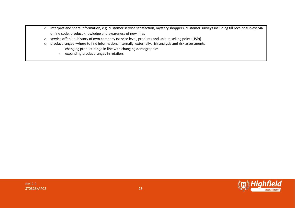- o interpret and share information, e.g. customer service satisfaction, mystery shoppers, customer surveys including till receipt surveys via online code, product knowledge and awareness of new lines
- o service offer, i.e. history of own company (service level, products and unique selling point (USP))
- o product ranges -where to find information, internally, externally, risk analysis and risk assessments
	- changing product range in line with changing demographics
	- expanding product ranges in retailers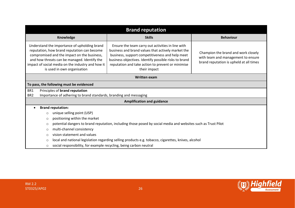| <b>Brand reputation</b> |                                                                                                                          |                                                                                                                                                                                                                                                                                |                                                                                                                                                                                                                                                                                          |                                                                                                                      |  |
|-------------------------|--------------------------------------------------------------------------------------------------------------------------|--------------------------------------------------------------------------------------------------------------------------------------------------------------------------------------------------------------------------------------------------------------------------------|------------------------------------------------------------------------------------------------------------------------------------------------------------------------------------------------------------------------------------------------------------------------------------------|----------------------------------------------------------------------------------------------------------------------|--|
|                         |                                                                                                                          | Knowledge                                                                                                                                                                                                                                                                      | <b>Skills</b>                                                                                                                                                                                                                                                                            | <b>Behaviour</b>                                                                                                     |  |
|                         |                                                                                                                          | Understand the importance of upholding brand<br>reputation, how brand reputation can become<br>compromised and the impact on the business,<br>and how threats can be managed. Identify the<br>impact of social media on the industry and how it<br>is used in own organisation | Ensure the team carry out activities in line with<br>business and brand values that actively market the<br>business, support competitiveness and help meet<br>business objectives. Identify possible risks to brand<br>reputation and take action to prevent or minimise<br>their impact | Champion the brand and work closely<br>with team and management to ensure<br>brand reputation is upheld at all times |  |
|                         |                                                                                                                          |                                                                                                                                                                                                                                                                                | <b>Written exam</b>                                                                                                                                                                                                                                                                      |                                                                                                                      |  |
|                         |                                                                                                                          | To pass, the following must be evidenced                                                                                                                                                                                                                                       |                                                                                                                                                                                                                                                                                          |                                                                                                                      |  |
| BR1                     |                                                                                                                          | Principles of brand reputation                                                                                                                                                                                                                                                 |                                                                                                                                                                                                                                                                                          |                                                                                                                      |  |
| BR <sub>2</sub>         |                                                                                                                          | Importance of adhering to brand standards, branding and messaging                                                                                                                                                                                                              |                                                                                                                                                                                                                                                                                          |                                                                                                                      |  |
|                         |                                                                                                                          |                                                                                                                                                                                                                                                                                | <b>Amplification and guidance</b>                                                                                                                                                                                                                                                        |                                                                                                                      |  |
| $\bullet$               |                                                                                                                          | <b>Brand reputation:</b>                                                                                                                                                                                                                                                       |                                                                                                                                                                                                                                                                                          |                                                                                                                      |  |
|                         | $\circ$                                                                                                                  | unique selling point (USP)                                                                                                                                                                                                                                                     |                                                                                                                                                                                                                                                                                          |                                                                                                                      |  |
|                         | positioning within the market<br>$\circ$                                                                                 |                                                                                                                                                                                                                                                                                |                                                                                                                                                                                                                                                                                          |                                                                                                                      |  |
|                         | potential dangers to brand reputation, including those posed by social media and websites such as Trust Pilot<br>$\circ$ |                                                                                                                                                                                                                                                                                |                                                                                                                                                                                                                                                                                          |                                                                                                                      |  |
|                         | multi-channel consistency<br>$\circ$                                                                                     |                                                                                                                                                                                                                                                                                |                                                                                                                                                                                                                                                                                          |                                                                                                                      |  |
|                         | vision statement and values<br>$\circ$                                                                                   |                                                                                                                                                                                                                                                                                |                                                                                                                                                                                                                                                                                          |                                                                                                                      |  |
|                         | local and national legislation regarding selling products e.g. tobacco, cigarettes, knives, alcohol<br>$\circ$           |                                                                                                                                                                                                                                                                                |                                                                                                                                                                                                                                                                                          |                                                                                                                      |  |
|                         | social responsibility, for example recycling, being carbon neutral<br>$\circ$                                            |                                                                                                                                                                                                                                                                                |                                                                                                                                                                                                                                                                                          |                                                                                                                      |  |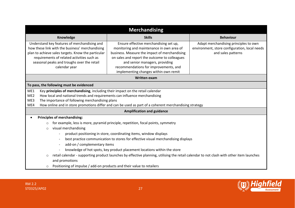| <b>Merchandising</b>                                                                                                                                                                                                                                                                                                                                                                                                                                                                                                                                                            |                                                                                                                                                                                                                                                                                                                                  |                                                                                                              |  |  |  |
|---------------------------------------------------------------------------------------------------------------------------------------------------------------------------------------------------------------------------------------------------------------------------------------------------------------------------------------------------------------------------------------------------------------------------------------------------------------------------------------------------------------------------------------------------------------------------------|----------------------------------------------------------------------------------------------------------------------------------------------------------------------------------------------------------------------------------------------------------------------------------------------------------------------------------|--------------------------------------------------------------------------------------------------------------|--|--|--|
| Knowledge                                                                                                                                                                                                                                                                                                                                                                                                                                                                                                                                                                       | <b>Skills</b>                                                                                                                                                                                                                                                                                                                    | <b>Behaviour</b>                                                                                             |  |  |  |
| Understand key features of merchandising and<br>Ensure effective merchandising set up,<br>how these link with the business' merchandising<br>monitoring and maintenance in own area of<br>plan to achieve sales targets. Know the particular<br>business. Measure the impact of merchandising<br>requirements of related activities such as<br>on sales and report the outcome to colleagues<br>seasonal peaks and troughs over the retail<br>and senior managers, providing<br>recommendations for improvements, and<br>calendar year<br>implementing changes within own remit |                                                                                                                                                                                                                                                                                                                                  | Adapt merchandising principles to own<br>environment, store configuration, local needs<br>and sales patterns |  |  |  |
|                                                                                                                                                                                                                                                                                                                                                                                                                                                                                                                                                                                 | <b>Written exam</b>                                                                                                                                                                                                                                                                                                              |                                                                                                              |  |  |  |
| To pass, the following must be evidenced                                                                                                                                                                                                                                                                                                                                                                                                                                                                                                                                        |                                                                                                                                                                                                                                                                                                                                  |                                                                                                              |  |  |  |
| ME <sub>2</sub><br>ME3<br>ME4                                                                                                                                                                                                                                                                                                                                                                                                                                                                                                                                                   | ME1<br>Key principles of merchandising, including their impact on the retail calendar<br>How local and national trends and requirements can influence merchandising<br>The importance of following merchandising plans<br>How online and in store promotions differ and can be used as part of a coherent merchandising strategy |                                                                                                              |  |  |  |
|                                                                                                                                                                                                                                                                                                                                                                                                                                                                                                                                                                                 | <b>Amplification and guidance</b>                                                                                                                                                                                                                                                                                                |                                                                                                              |  |  |  |
| <b>Principles of merchandising:</b><br>for example, less is more, pyramid principle, repetition, focal points, symmetry<br>$\circ$<br>visual merchandising<br>$\circ$                                                                                                                                                                                                                                                                                                                                                                                                           |                                                                                                                                                                                                                                                                                                                                  |                                                                                                              |  |  |  |
| product positioning in store, coordinating items, window displays<br>best practice communication to stores for effective visual merchandising displays<br>add-on / complementary items<br>$\overline{\phantom{a}}$<br>knowledge of hot spots, key product placement locations within the store                                                                                                                                                                                                                                                                                  |                                                                                                                                                                                                                                                                                                                                  |                                                                                                              |  |  |  |
| $\circ$<br>and promotions                                                                                                                                                                                                                                                                                                                                                                                                                                                                                                                                                       | retail calendar - supporting product launches by effective planning, utilising the retail calendar to not clash with other item launches                                                                                                                                                                                         |                                                                                                              |  |  |  |
| Positioning of impulse / add-on products and their value to retailers<br>$\circ$                                                                                                                                                                                                                                                                                                                                                                                                                                                                                                |                                                                                                                                                                                                                                                                                                                                  |                                                                                                              |  |  |  |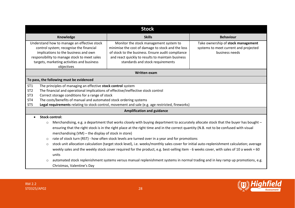|                                                                                                                                                                                                                                                                                                                                                                                                                                                                                                                                                                                                                                                                                                                                                                                                                                                                                                                                                                               | <b>Stock</b>                                                                                                                                                                                                                              |                                                                                               |  |  |
|-------------------------------------------------------------------------------------------------------------------------------------------------------------------------------------------------------------------------------------------------------------------------------------------------------------------------------------------------------------------------------------------------------------------------------------------------------------------------------------------------------------------------------------------------------------------------------------------------------------------------------------------------------------------------------------------------------------------------------------------------------------------------------------------------------------------------------------------------------------------------------------------------------------------------------------------------------------------------------|-------------------------------------------------------------------------------------------------------------------------------------------------------------------------------------------------------------------------------------------|-----------------------------------------------------------------------------------------------|--|--|
| Knowledge                                                                                                                                                                                                                                                                                                                                                                                                                                                                                                                                                                                                                                                                                                                                                                                                                                                                                                                                                                     | <b>Skills</b>                                                                                                                                                                                                                             | <b>Behaviour</b>                                                                              |  |  |
| Understand how to manage an effective stock<br>control system; recognise the financial<br>implications to the business and own<br>responsibility to manage stock to meet sales<br>targets, marketing activities and business<br>objectives                                                                                                                                                                                                                                                                                                                                                                                                                                                                                                                                                                                                                                                                                                                                    | Monitor the stock management system to<br>minimise the cost of damage to stock and the loss<br>of stock to the business. Ensure audit compliance<br>and react quickly to results to maintain business<br>standards and stock requirements | Take ownership of stock management<br>systems to meet current and projected<br>business needs |  |  |
|                                                                                                                                                                                                                                                                                                                                                                                                                                                                                                                                                                                                                                                                                                                                                                                                                                                                                                                                                                               | <b>Written exam</b>                                                                                                                                                                                                                       |                                                                                               |  |  |
| To pass, the following must be evidenced                                                                                                                                                                                                                                                                                                                                                                                                                                                                                                                                                                                                                                                                                                                                                                                                                                                                                                                                      |                                                                                                                                                                                                                                           |                                                                                               |  |  |
| ST <sub>1</sub><br>The principles of managing an effective stock control system<br>ST <sub>2</sub><br>The financial and operational implications of effective/ineffective stock control<br>ST <sub>3</sub><br>Correct storage conditions for a range of stock<br>The costs/benefits of manual and automated stock ordering systems<br>ST <sub>4</sub><br>ST <sub>5</sub><br>Legal requirements relating to stock control, movement and sale (e.g. age restricted, fireworks)                                                                                                                                                                                                                                                                                                                                                                                                                                                                                                  |                                                                                                                                                                                                                                           |                                                                                               |  |  |
|                                                                                                                                                                                                                                                                                                                                                                                                                                                                                                                                                                                                                                                                                                                                                                                                                                                                                                                                                                               | <b>Amplification and guidance</b>                                                                                                                                                                                                         |                                                                                               |  |  |
| <b>Stock control:</b><br>Merchandising, e.g. a department that works closely with buying department to accurately allocate stock that the buyer has bought -<br>$\circ$<br>ensuring that the right stock is in the right place at the right time and in the correct quantity (N.B. not to be confused with visual<br>merchandising (VM) – the display of stock in store)<br>rate of stock turn (RST) - how often stock levels are turned over in a year and for promotions<br>$\circ$<br>stock unit allocation calculation (target stock level), i.e. weeks/monthly sales cover for initial auto-replenishment calculation; average<br>$\circ$<br>weekly sales and the weekly stock cover required for the product, e.g. best-selling item - 6 weeks cover, with sales of 10 a week = 60<br>units<br>automated stock replenishment systems versus manual replenishment systems in normal trading and in key ramp up promotions, e.g.<br>$\circ$<br>Christmas, Valentine's Day |                                                                                                                                                                                                                                           |                                                                                               |  |  |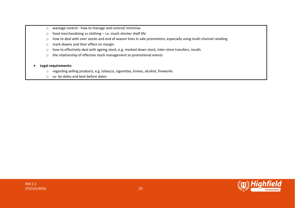- o wastage control how to manage and control/ minimise
- o food merchandising vs clothing i.e. much shorter shelf life
- o how to deal with over stocks and end of season lines in sale promotions, especially using multi-channel retailing
- o mark-downs and their effect on margin
- o how to effectively deal with ageing stock, e.g. marked down stock, inter-store transfers, recalls
- o the relationship of effective stock management to promotional events

#### • **Legal requirements:**

- o regarding selling products, e.g. tobacco, cigarettes, knives, alcohol, fireworks
- o us- by dates and best before dates

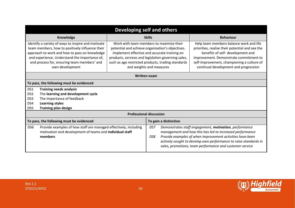|                                                                                                                                                                                                                                                                           | Developing self and others                                                                                                                                  |                                                                                                                                                                                                                                                                                       |                                                                                                                                                                                                                                                                                                                 |                  |  |  |
|---------------------------------------------------------------------------------------------------------------------------------------------------------------------------------------------------------------------------------------------------------------------------|-------------------------------------------------------------------------------------------------------------------------------------------------------------|---------------------------------------------------------------------------------------------------------------------------------------------------------------------------------------------------------------------------------------------------------------------------------------|-----------------------------------------------------------------------------------------------------------------------------------------------------------------------------------------------------------------------------------------------------------------------------------------------------------------|------------------|--|--|
|                                                                                                                                                                                                                                                                           | Knowledge                                                                                                                                                   |                                                                                                                                                                                                                                                                                       | <b>Skills</b>                                                                                                                                                                                                                                                                                                   | <b>Behaviour</b> |  |  |
| Identify a variety of ways to inspire and motivate<br>team members, how to positively influence their<br>approach to work and how to pass on knowledge<br>and experience. Understand the importance of,<br>and process for, ensuring team members' and<br>own development |                                                                                                                                                             | Work with team members to maximise their<br>potential and achieve organisation's objectives.<br>Implement effective and accurate training on<br>products, services and legislation governing sales,<br>such as age restricted products, trading standards<br>and weights and measures | Help team members balance work and life<br>priorities, realise their potential and see the<br>benefits of self- development and<br>improvement. Demonstrate commitment to<br>self-improvement, championing a culture of<br>continual development and progression                                                |                  |  |  |
|                                                                                                                                                                                                                                                                           | <b>Written exam</b>                                                                                                                                         |                                                                                                                                                                                                                                                                                       |                                                                                                                                                                                                                                                                                                                 |                  |  |  |
| To pass, the following must be evidenced                                                                                                                                                                                                                                  |                                                                                                                                                             |                                                                                                                                                                                                                                                                                       |                                                                                                                                                                                                                                                                                                                 |                  |  |  |
| DS1<br>DS <sub>2</sub><br>DS3<br>DS4<br>DS5                                                                                                                                                                                                                               | <b>Training needs analysis</b><br>The learning and development cycle<br>The importance of feedback<br><b>Learning styles</b><br><b>Training plan design</b> |                                                                                                                                                                                                                                                                                       |                                                                                                                                                                                                                                                                                                                 |                  |  |  |
|                                                                                                                                                                                                                                                                           | <b>Professional discussion</b>                                                                                                                              |                                                                                                                                                                                                                                                                                       |                                                                                                                                                                                                                                                                                                                 |                  |  |  |
| To pass, the following must be evidenced                                                                                                                                                                                                                                  |                                                                                                                                                             |                                                                                                                                                                                                                                                                                       | To gain a distinction                                                                                                                                                                                                                                                                                           |                  |  |  |
| Provide examples of how staff are managed effectively, including<br>DS <sub>6</sub><br>motivation and development of teams and individual staff<br>members                                                                                                                |                                                                                                                                                             | DS7<br>DS8                                                                                                                                                                                                                                                                            | Demonstrates staff engagement, motivation, performance<br>management and how this has led to increased performance<br>Provide examples of when improvement activities have been<br>actively sought to develop own performance to raise standards in<br>sales, promotions, team performance and customer service |                  |  |  |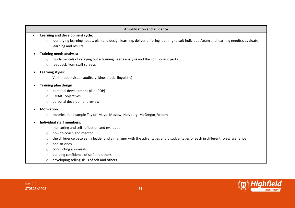#### **Amplification and guidance**

#### • **Learning and development cycle:**

o identifying learning needs, plan and design learning, deliver differing learning to suit individual/team and learning need(s), evaluate learning and results

#### • **Training needs analysis:**

- o fundamentals of carrying out a training needs analysis and the component parts
- o feedback from staff surveys

#### • **Learning styles:**

o Vark model (visual, auditory, kinesthetic, linguistic)

#### • **Training plan design**

- o personal development plan (PDP)
- o SMART objectives
- o personal development review

#### • **Motivation:**

o theories, for example Taylor, Mayo, Maslow, Herzberg, McGregor, Vroom

#### • **Individual staff members:**

- o mentoring and self-reflection and evaluation
- o how to coach and mentor
- $\circ$  the difference between a leader and a manager with the advantages and disadvantages of each in different roles/ scenarios
- o one-to-ones
- o conducting appraisals
- o building confidence of self and others
- o developing selling skills of self and others

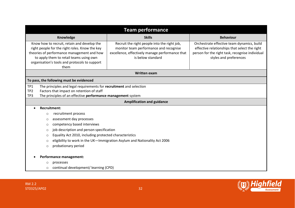| <b>Team performance</b>                                                                                                                                                                                                                         |                                                                                                                                                                |                                                                                                                                                                          |  |  |  |
|-------------------------------------------------------------------------------------------------------------------------------------------------------------------------------------------------------------------------------------------------|----------------------------------------------------------------------------------------------------------------------------------------------------------------|--------------------------------------------------------------------------------------------------------------------------------------------------------------------------|--|--|--|
| Knowledge                                                                                                                                                                                                                                       | <b>Skills</b>                                                                                                                                                  | <b>Behaviour</b>                                                                                                                                                         |  |  |  |
| Know how to recruit, retain and develop the<br>right people for the right roles. Know the key<br>theories of performance management and how<br>to apply them to retail teams using own<br>organisation's tools and protocols to support<br>them | Recruit the right people into the right job,<br>monitor team performance and recognise<br>excellence, effectively manage performance that<br>is below standard | Orchestrate effective team dynamics, build<br>effective relationships that select the right<br>person for the right task, recognise individual<br>styles and preferences |  |  |  |
|                                                                                                                                                                                                                                                 | <b>Written exam</b>                                                                                                                                            |                                                                                                                                                                          |  |  |  |
| To pass, the following must be evidenced                                                                                                                                                                                                        |                                                                                                                                                                |                                                                                                                                                                          |  |  |  |
| TP1<br>The principles and legal requirements for recruitment and selection<br>TP <sub>2</sub><br>Factors that impact on retention of staff<br>TP3<br>The principles of an effective performance management system                               |                                                                                                                                                                |                                                                                                                                                                          |  |  |  |
|                                                                                                                                                                                                                                                 | <b>Amplification and guidance</b>                                                                                                                              |                                                                                                                                                                          |  |  |  |
| <b>Recruitment:</b>                                                                                                                                                                                                                             |                                                                                                                                                                |                                                                                                                                                                          |  |  |  |
| recruitment process<br>$\circ$                                                                                                                                                                                                                  |                                                                                                                                                                |                                                                                                                                                                          |  |  |  |
| assessment day processes<br>$\circ$                                                                                                                                                                                                             |                                                                                                                                                                |                                                                                                                                                                          |  |  |  |
| competency based interviews<br>$\circ$                                                                                                                                                                                                          |                                                                                                                                                                |                                                                                                                                                                          |  |  |  |
| $\circ$                                                                                                                                                                                                                                         | job description and person specification                                                                                                                       |                                                                                                                                                                          |  |  |  |
| O                                                                                                                                                                                                                                               | Equality Act 2010, including protected characteristics                                                                                                         |                                                                                                                                                                          |  |  |  |
| eligibility to work in the UK-Immigration Asylum and Nationality Act 2006<br>$\circ$                                                                                                                                                            |                                                                                                                                                                |                                                                                                                                                                          |  |  |  |
| probationary period<br>$\circ$                                                                                                                                                                                                                  |                                                                                                                                                                |                                                                                                                                                                          |  |  |  |
| Performance management:                                                                                                                                                                                                                         |                                                                                                                                                                |                                                                                                                                                                          |  |  |  |
| processes<br>O                                                                                                                                                                                                                                  |                                                                                                                                                                |                                                                                                                                                                          |  |  |  |
| continual development/ learning (CPD)<br>$\circ$                                                                                                                                                                                                |                                                                                                                                                                |                                                                                                                                                                          |  |  |  |

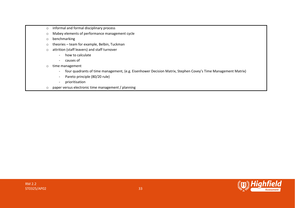- o informal and formal disciplinary process
- o Mabey elements of performance management cycle
- o benchmarking
- o theories team for example, Belbin, Tuckman
- o attrition (staff leavers) and staff turnover
	- how to calculate
	- causes of
- o time management
	- four quadrants of time management, (e.g. Eisenhower Decision Matrix, Stephen Covey's Time Management Matrix)
	- Pareto principle (80/20 rule)
	- prioritisation
- o paper versus electronic time management / planning

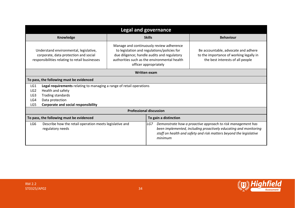| <b>Legal and governance</b>                                                                                                       |                                |                                                                                                                                                                                                                 |                                                                                                                                                                                                       |  |  |  |
|-----------------------------------------------------------------------------------------------------------------------------------|--------------------------------|-----------------------------------------------------------------------------------------------------------------------------------------------------------------------------------------------------------------|-------------------------------------------------------------------------------------------------------------------------------------------------------------------------------------------------------|--|--|--|
| Knowledge                                                                                                                         |                                | <b>Skills</b>                                                                                                                                                                                                   | <b>Behaviour</b>                                                                                                                                                                                      |  |  |  |
| Understand environmental, legislative,<br>corporate, data protection and social<br>responsibilities relating to retail businesses |                                | Manage and continuously review adherence<br>to legislation and regulations/policies for<br>due diligence; handle audits and regulatory<br>authorities such as the environmental health<br>officer appropriately | Be accountable, advocate and adhere<br>to the importance of working legally in<br>the best interests of all people                                                                                    |  |  |  |
|                                                                                                                                   | <b>Written exam</b>            |                                                                                                                                                                                                                 |                                                                                                                                                                                                       |  |  |  |
| To pass, the following must be evidenced                                                                                          |                                |                                                                                                                                                                                                                 |                                                                                                                                                                                                       |  |  |  |
| Legal requirements relating to managing a range of retail operations<br>LG1                                                       |                                |                                                                                                                                                                                                                 |                                                                                                                                                                                                       |  |  |  |
| Health and safety<br>LG <sub>2</sub>                                                                                              |                                |                                                                                                                                                                                                                 |                                                                                                                                                                                                       |  |  |  |
| <b>Trading standards</b><br>LG <sub>3</sub>                                                                                       |                                |                                                                                                                                                                                                                 |                                                                                                                                                                                                       |  |  |  |
| Data protection<br>LG4                                                                                                            |                                |                                                                                                                                                                                                                 |                                                                                                                                                                                                       |  |  |  |
| <b>Corporate and social responsibility</b><br>LG5                                                                                 |                                |                                                                                                                                                                                                                 |                                                                                                                                                                                                       |  |  |  |
|                                                                                                                                   | <b>Professional discussion</b> |                                                                                                                                                                                                                 |                                                                                                                                                                                                       |  |  |  |
| To pass, the following must be evidenced<br>To gain a distinction                                                                 |                                |                                                                                                                                                                                                                 |                                                                                                                                                                                                       |  |  |  |
| LG6<br>Describe how the retail operation meets legislative and<br>regulatory needs                                                |                                | LG7<br>minimum                                                                                                                                                                                                  | Demonstrate how a proactive approach to risk management has<br>been implemented, including proactively educating and monitoring<br>staff on health and safety and risk matters beyond the legislative |  |  |  |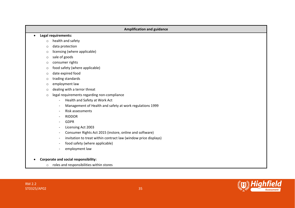| <b>Amplification and guidance</b> |                                                                 |  |  |  |  |  |
|-----------------------------------|-----------------------------------------------------------------|--|--|--|--|--|
|                                   | Legal requirements:                                             |  |  |  |  |  |
| $\circ$                           | health and safety                                               |  |  |  |  |  |
| $\circ$                           | data protection                                                 |  |  |  |  |  |
| $\circ$                           | licensing (where applicable)                                    |  |  |  |  |  |
| $\circ$                           | sale of goods                                                   |  |  |  |  |  |
| $\circ$                           | consumer rights                                                 |  |  |  |  |  |
| $\circ$                           | food safety (where applicable)                                  |  |  |  |  |  |
| $\circ$                           | date expired food                                               |  |  |  |  |  |
| $\circ$                           | trading standards                                               |  |  |  |  |  |
| $\circ$                           | employment law                                                  |  |  |  |  |  |
| $\circ$                           | dealing with a terror threat                                    |  |  |  |  |  |
| $\circ$                           | legal requirements regarding non-compliance                     |  |  |  |  |  |
|                                   | Health and Safety at Work Act                                   |  |  |  |  |  |
|                                   | Management of Health and safety at work regulations 1999        |  |  |  |  |  |
|                                   | Risk assessments<br>$\overline{\phantom{a}}$                    |  |  |  |  |  |
|                                   | <b>RIDDOR</b>                                                   |  |  |  |  |  |
|                                   | <b>GDPR</b><br>$\overline{\phantom{a}}$                         |  |  |  |  |  |
|                                   | Licensing Act 2003                                              |  |  |  |  |  |
|                                   | Consumer Rights Act 2015 (instore, online and software)         |  |  |  |  |  |
|                                   | invitation to treat within contract law (window price displays) |  |  |  |  |  |
|                                   | food safety (where applicable)                                  |  |  |  |  |  |
|                                   | employment law                                                  |  |  |  |  |  |
|                                   | <b>Corporate and social responsibility:</b>                     |  |  |  |  |  |
| $\circ$                           | roles and responsibilities within stores                        |  |  |  |  |  |

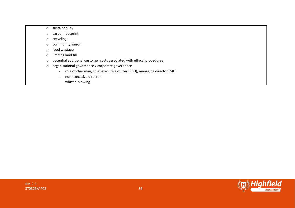- o sustainability
- o carbon footprint
- o recycling
- o community liaison
- o food wastage
- o limiting land fill
- o potential additional customer costs associated with ethical procedures
- o organisational governance / corporate governance
	- role of chairman, chief executive officer (CEO), managing director (MD)
	- non-executive directors
		- whistle-blowing

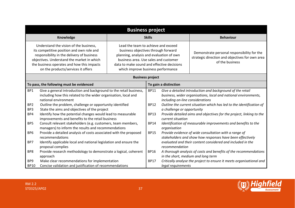|                                                                                                                                                                                                                                                                                                                                                                                                                                                                                                                                                                                                                                                                                                                                                                                            | <b>Business project</b>                                                                                                                                                                                                                                                                                                                                                                                                                                                                                                    |                                                                         |                                                                                                                       |                                                                                                                                                                                                                                                                                                                                                                                                                                                                                                                                   |  |  |
|--------------------------------------------------------------------------------------------------------------------------------------------------------------------------------------------------------------------------------------------------------------------------------------------------------------------------------------------------------------------------------------------------------------------------------------------------------------------------------------------------------------------------------------------------------------------------------------------------------------------------------------------------------------------------------------------------------------------------------------------------------------------------------------------|----------------------------------------------------------------------------------------------------------------------------------------------------------------------------------------------------------------------------------------------------------------------------------------------------------------------------------------------------------------------------------------------------------------------------------------------------------------------------------------------------------------------------|-------------------------------------------------------------------------|-----------------------------------------------------------------------------------------------------------------------|-----------------------------------------------------------------------------------------------------------------------------------------------------------------------------------------------------------------------------------------------------------------------------------------------------------------------------------------------------------------------------------------------------------------------------------------------------------------------------------------------------------------------------------|--|--|
| Knowledge                                                                                                                                                                                                                                                                                                                                                                                                                                                                                                                                                                                                                                                                                                                                                                                  |                                                                                                                                                                                                                                                                                                                                                                                                                                                                                                                            | <b>Skills</b>                                                           |                                                                                                                       | <b>Behaviour</b>                                                                                                                                                                                                                                                                                                                                                                                                                                                                                                                  |  |  |
|                                                                                                                                                                                                                                                                                                                                                                                                                                                                                                                                                                                                                                                                                                                                                                                            | Understand the vision of the business,<br>Lead the team to achieve and exceed<br>its competitive position and own role and<br>business objectives through forward<br>responsibility in the delivery of business<br>planning, analysis and evaluation of own<br>objectives. Understand the market in which<br>business area. Use sales and customer<br>the business operates and how this impacts<br>data to make sound and effective decisions<br>on the products/services it offers<br>which improve business performance |                                                                         |                                                                                                                       | Demonstrate personal responsibility for the<br>strategic direction and objectives for own area<br>of the business                                                                                                                                                                                                                                                                                                                                                                                                                 |  |  |
|                                                                                                                                                                                                                                                                                                                                                                                                                                                                                                                                                                                                                                                                                                                                                                                            |                                                                                                                                                                                                                                                                                                                                                                                                                                                                                                                            |                                                                         | <b>Business project</b>                                                                                               |                                                                                                                                                                                                                                                                                                                                                                                                                                                                                                                                   |  |  |
|                                                                                                                                                                                                                                                                                                                                                                                                                                                                                                                                                                                                                                                                                                                                                                                            | To pass, the following must be evidenced                                                                                                                                                                                                                                                                                                                                                                                                                                                                                   |                                                                         |                                                                                                                       | To gain a distinction                                                                                                                                                                                                                                                                                                                                                                                                                                                                                                             |  |  |
| Give a general introduction and background to the retail business,<br>BP1<br>including how this related to the wider organisation, local and<br>national environment<br>BP <sub>2</sub><br>Outline the problem, challenge or opportunity identified<br>BP3<br>State the aims and objectives of the project<br>Identify how the potential changes would lead to measurable<br>BP4<br>improvements and benefits to the retail business<br>BP <sub>5</sub><br>Consult relevant stakeholders (e.g. customers, team members,<br>managers) to inform the results and recommendations<br>BP <sub>6</sub><br>Provide a detailed analysis of costs associated with the proposed<br>recommendations<br>BP7<br>Identify applicable local and national legislation and ensure the<br>proposal complies |                                                                                                                                                                                                                                                                                                                                                                                                                                                                                                                            | <b>BP11</b><br><b>BP12</b><br><b>BP13</b><br><b>BP14</b><br><b>BP15</b> | including on-line considerations<br>a challenge or opportunity<br>current situation<br>organisation<br>recommendation | Give a detailed introduction and background of the retail<br>business, wider organisations, local and national environments,<br>Outline the current situation which has led to the identification of<br>Provide detailed aims and objectives for the project, linking to the<br>Identification of measurable improvements and benefits to the<br>Provide evidence of wide consultation with a range of<br>stakeholders and show how responses have been effectively<br>evaluated and their content considered and included in the |  |  |
| BP8<br>Provide research methodology to demonstrate a logical, coherent<br>approach                                                                                                                                                                                                                                                                                                                                                                                                                                                                                                                                                                                                                                                                                                         |                                                                                                                                                                                                                                                                                                                                                                                                                                                                                                                            | <b>BP16</b>                                                             |                                                                                                                       | A thorough analysis of costs and benefits of the recommendations<br>in the short, medium and long term                                                                                                                                                                                                                                                                                                                                                                                                                            |  |  |
| Make clear recommendations for implementation<br>BP <sub>9</sub><br>Concise validation and justification of recommendations<br><b>BP10</b>                                                                                                                                                                                                                                                                                                                                                                                                                                                                                                                                                                                                                                                 |                                                                                                                                                                                                                                                                                                                                                                                                                                                                                                                            | <b>BP17</b>                                                             | legal requirements                                                                                                    | Critically analyse the project to ensure it meets organisational and                                                                                                                                                                                                                                                                                                                                                                                                                                                              |  |  |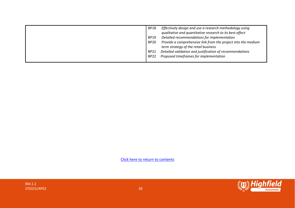| BP18<br><b>BP19</b><br><b>BP20</b> | Effectively design and use a research methodology using<br>qualitative and quantitative research to its best effect<br>Detailed recommendations for implementation<br>Provide a comprehensive link from the project into the medium<br>term strategy of the retail business |
|------------------------------------|-----------------------------------------------------------------------------------------------------------------------------------------------------------------------------------------------------------------------------------------------------------------------------|
| <b>BP21</b><br><b>BP22</b>         | Detailed validation and justification of recommendations<br>Proposed timeframes for implementation                                                                                                                                                                          |



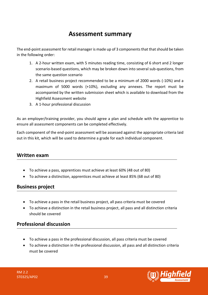# **Assessment summary**

<span id="page-38-0"></span>The end-point assessment for retail manager is made up of 3 components that that should be taken in the following order:

- 1. A 2-hour written exam, with 5 minutes reading time, consisting of 6 short and 2 longer scenario-based questions, which may be broken down into several sub-questions, from the same question scenario
- 2. A retail business project recommended to be a minimum of 2000 words (-10%) and a maximum of 5000 words (+10%), excluding any annexes. The report must be accompanied by the written submission sheet which is available to download from the Highfield Assessment website
- 3. A 1-hour professional discussion

As an employer/training provider, you should agree a plan and schedule with the apprentice to ensure all assessment components can be completed effectively.

Each component of the end-point assessment will be assessed against the appropriate criteria laid out in this kit, which will be used to determine a grade for each individual component.

# **Written exam**

- To achieve a pass, apprentices must achieve at least 60% (48 out of 80)
- To achieve a distinction, apprentices must achieve at least 85% (68 out of 80)

# **Business project**

- To achieve a pass in the retail business project, all pass criteria must be covered
- To achieve a distinction in the retail business project, all pass and all distinction criteria should be covered

# **Professional discussion**

- To achieve a pass in the professional discussion, all pass criteria must be covered
- To achieve a distinction in the professional discussion, all pass and all distinction criteria must be covered

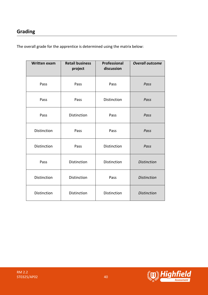# **Grading**

The overall grade for the apprentice is determined using the matrix below:

| <b>Written exam</b> | <b>Retail business</b><br>project | <b>Professional</b><br>discussion | <b>Overall outcome</b> |
|---------------------|-----------------------------------|-----------------------------------|------------------------|
| Pass                | Pass                              | Pass                              | Pass                   |
| Pass                | Pass                              | Distinction                       | Pass                   |
| Pass                | Distinction                       | Pass                              | Pass                   |
| Distinction         | Pass                              | Pass                              | Pass                   |
| Distinction         | Pass                              | Distinction                       | Pass                   |
| Pass                | Distinction                       | Distinction                       | <b>Distinction</b>     |
| <b>Distinction</b>  | Distinction                       | Pass                              | <b>Distinction</b>     |
| Distinction         | Distinction                       | Distinction                       | <b>Distinction</b>     |

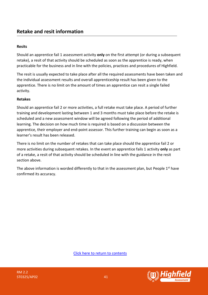## **Resits**

Should an apprentice fail 1 assessment activity **only** on the first attempt (or during a subsequent retake), a resit of that activity should be scheduled as soon as the apprentice is ready, when practicable for the business and in line with the policies, practices and procedures of Highfield.

The resit is usually expected to take place after all the required assessments have been taken and the individual assessment results and overall apprenticeship result has been given to the apprentice. There is no limit on the amount of times an apprentice can resit a single failed activity.

## **Retakes**

Should an apprentice fail 2 or more activities, a full retake must take place. A period of further training and development lasting between 1 and 3 months must take place before the retake is scheduled and a new assessment window will be agreed following the period of additional learning. The decision on how much time is required is based on a discussion between the apprentice, their employer and end-point assessor. This further training can begin as soon as a learner's result has been released.

There is no limit on the number of retakes that can take place should the apprentice fail 2 or more activities during subsequent retakes. In the event an apprentice fails 1 activity **only** as part of a retake, a resit of that activity should be scheduled in line with the guidance in the resit section above.

The above information is worded differently to that in the assessment plan, but People 1<sup>st</sup> have confirmed its accuracy.

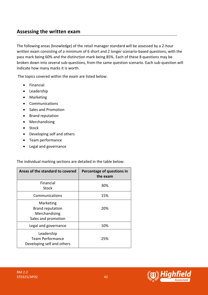# <span id="page-41-0"></span>**Assessing the written exam**

The following areas (knowledge) of the retail manager standard will be assessed by a 2-hour written exam consisting of a minimum of 6 short and 2 longer scenario-based questions, with the pass mark being 60% and the distinction mark being 85%. Each of these 8 questions may be broken down into several sub-questions, from the same question scenario. Each sub-question will indicate how many marks it is worth.

The topics covered within the exam are listed below:

- Financial
- Leadership
- Marketing
- Communications
- Sales and Promotion
- Brand reputation
- Merchandising
- Stock
- Developing self and others
- Team performance
- Legal and governance

The individual marking sections are detailed in the table below:

| Areas of the standard to covered                                             | Percentage of questions in<br>the exam |
|------------------------------------------------------------------------------|----------------------------------------|
| Financial<br>Stock                                                           | 30%                                    |
| Communications                                                               | 15%                                    |
| Marketing<br><b>Brand reputation</b><br>Merchandising<br>Sales and promotion | 20%                                    |
| Legal and governance                                                         | 10%                                    |
| Leadership<br>Team Performance<br>Developing self and others                 | 25%                                    |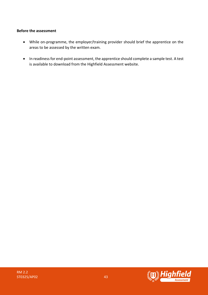## **Before the assessment**

- While on-programme, the employer/training provider should brief the apprentice on the areas to be assessed by the written exam.
- In readiness for end-point assessment, the apprentice should complete a sample test. A test is available to download from the Highfield Assessment website.

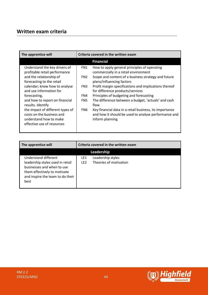# **Written exam criteria**

| The apprentice will                                                                                                   | Criteria covered in the written exam |                                                                                                                                    |
|-----------------------------------------------------------------------------------------------------------------------|--------------------------------------|------------------------------------------------------------------------------------------------------------------------------------|
|                                                                                                                       |                                      | <b>Financial</b>                                                                                                                   |
| Understand the key drivers of<br>profitable retail performance                                                        | FN1                                  | How to apply general principles of operating<br>commercially in a retail environment                                               |
| and the relationship of<br>forecasting to the retail                                                                  | FN <sub>2</sub>                      | Scope and content of a business strategy and future<br>plans/influencing factors                                                   |
| calendar; know how to analyse<br>and use information for                                                              | FN3                                  | Profit margin specifications and implications thereof<br>for difference products/services                                          |
| forecasting,                                                                                                          | FN4                                  | Principles of budgeting and forecasting                                                                                            |
| and how to report on financial<br>results. Identify                                                                   | FN <sub>5</sub>                      | The difference between a budget, 'actuals' and cash<br>flow                                                                        |
| the impact of different types of<br>costs on the business and<br>understand how to make<br>effective use of resources | FN6                                  | Key financial data in a retail business, its importance<br>and how it should be used to analyse performance and<br>inform planning |

| The apprentice will                                                                                                                                                |                        | Criteria covered in the written exam        |  |  |
|--------------------------------------------------------------------------------------------------------------------------------------------------------------------|------------------------|---------------------------------------------|--|--|
| Leadership                                                                                                                                                         |                        |                                             |  |  |
| Understand different<br>leadership styles used in retail<br>businesses and when to use<br>them effectively to motivate<br>and inspire the team to do their<br>best | LE1<br>LE <sub>2</sub> | Leadership styles<br>Theories of motivation |  |  |

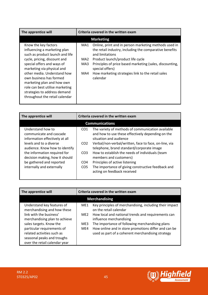| The apprentice will                                                                                                                                                                                                                                                                                                                                                              | Criteria covered in the written exam |                                                                                                                                                                                                                                                                                                                          |  |
|----------------------------------------------------------------------------------------------------------------------------------------------------------------------------------------------------------------------------------------------------------------------------------------------------------------------------------------------------------------------------------|--------------------------------------|--------------------------------------------------------------------------------------------------------------------------------------------------------------------------------------------------------------------------------------------------------------------------------------------------------------------------|--|
|                                                                                                                                                                                                                                                                                                                                                                                  |                                      | <b>Marketing</b>                                                                                                                                                                                                                                                                                                         |  |
| Know the key factors<br>influencing a marketing plan<br>such as product launch and life<br>cycle, pricing, discount and<br>special offers and ways of<br>marketing via physical and<br>other media. Understand how<br>own business has formed<br>marketing plan and how own<br>role can best utilise marketing<br>strategies to address demand<br>throughout the retail calendar | MA1<br>MA2<br>MA3<br>MA4             | Online, print and in person marketing methods used in<br>the retail industry, including the comparative benefits<br>and limitations<br>Product launch/product life cycle<br>Principles of price based marketing (sales, discounting,<br>special offers)<br>How marketing strategies link to the retail sales<br>calendar |  |

| The apprentice will                                                                                                                                                                                                                                                    | Criteria covered in the written exam                                                        |                                                                                                                                                                                                                                                                                                                                                                                                                                            |  |  |  |
|------------------------------------------------------------------------------------------------------------------------------------------------------------------------------------------------------------------------------------------------------------------------|---------------------------------------------------------------------------------------------|--------------------------------------------------------------------------------------------------------------------------------------------------------------------------------------------------------------------------------------------------------------------------------------------------------------------------------------------------------------------------------------------------------------------------------------------|--|--|--|
|                                                                                                                                                                                                                                                                        | <b>Communications</b>                                                                       |                                                                                                                                                                                                                                                                                                                                                                                                                                            |  |  |  |
| Understand how to<br>communicate and cascade<br>information effectively at all<br>levels and to a diverse<br>audience. Know how to identify<br>the information required for<br>decision making, how it should<br>be gathered and reported<br>internally and externally | CO <sub>1</sub><br>CO <sub>2</sub><br>CO <sub>3</sub><br>CO <sub>4</sub><br>CO <sub>5</sub> | The variety of methods of communication available<br>and how to use these effectively depending on the<br>situation and audience<br>Verbal/non-verbal/written, face to face, on-line, via<br>telephone, brand standard/corporate image<br>How to establish the needs of individuals (team<br>members and customers)<br>Principles of active listening<br>The importance of giving constructive feedback and<br>acting on feedback received |  |  |  |

| The apprentice will                                                                                                                                | Criteria covered in the written exam |                                                                                                                                                              |  |  |
|----------------------------------------------------------------------------------------------------------------------------------------------------|--------------------------------------|--------------------------------------------------------------------------------------------------------------------------------------------------------------|--|--|
| <b>Merchandising</b>                                                                                                                               |                                      |                                                                                                                                                              |  |  |
| Understand key features of<br>merchandising and how these                                                                                          | ME <sub>1</sub>                      | Key principles of merchandising, including their impact<br>on the retail calendar                                                                            |  |  |
| link with the business'<br>merchandising plan to achieve                                                                                           | ME <sub>2</sub>                      | How local and national trends and requirements can<br>influence merchandising                                                                                |  |  |
| sales targets. Know the<br>particular requirements of<br>related activities such as<br>seasonal peaks and troughs<br>over the retail calendar year | ME3<br>ME4                           | The importance of following merchandising plans<br>How online and in store promotions differ and can be<br>used as part of a coherent merchandising strategy |  |  |

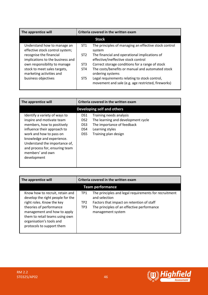| The apprentice will                                            |                 | Criteria covered in the written exam                                                                |  |
|----------------------------------------------------------------|-----------------|-----------------------------------------------------------------------------------------------------|--|
|                                                                |                 | <b>Stock</b>                                                                                        |  |
| Understand how to manage an<br>effective stock control system; | ST <sub>1</sub> | The principles of managing an effective stock control<br>system                                     |  |
| recognise the financial<br>implications to the business and    | ST <sub>2</sub> | The financial and operational implications of<br>effective/ineffective stock control                |  |
| own responsibility to manage                                   | ST <sub>3</sub> | Correct storage conditions for a range of stock                                                     |  |
| stock to meet sales targets,<br>marketing activities and       | ST <sub>4</sub> | The costs/benefits or manual and automated stock<br>ordering systems                                |  |
| business objectives                                            | ST <sub>5</sub> | Legal requirements relating to stock control,<br>movement and sale (e.g. age restricted, fireworks) |  |

| The apprentice will                                                                                                                                                                                                                                                                   | Criteria covered in the written exam        |                                                                                                                                        |  |  |  |
|---------------------------------------------------------------------------------------------------------------------------------------------------------------------------------------------------------------------------------------------------------------------------------------|---------------------------------------------|----------------------------------------------------------------------------------------------------------------------------------------|--|--|--|
|                                                                                                                                                                                                                                                                                       | Developing self and others                  |                                                                                                                                        |  |  |  |
| Identify a variety of ways to<br>inspire and motivate team<br>members, how to positively<br>influence their approach to<br>work and how to pass on<br>knowledge and experience.<br>Understand the importance of,<br>and process for, ensuring team<br>members' and own<br>development | DS1<br>DS <sub>2</sub><br>DS3<br>DS4<br>DS5 | Training needs analysis<br>The learning and development cycle<br>The importance of feedback<br>Learning styles<br>Training plan design |  |  |  |

| The apprentice will                                                                                                                               | Criteria covered in the written exam |                                                                        |  |  |
|---------------------------------------------------------------------------------------------------------------------------------------------------|--------------------------------------|------------------------------------------------------------------------|--|--|
| <b>Team performance</b>                                                                                                                           |                                      |                                                                        |  |  |
| Know how to recruit, retain and<br>develop the right people for the                                                                               | TP1                                  | The principles and legal requirements for recruitment<br>and selection |  |  |
| right roles. Know the key                                                                                                                         | TP <sub>2</sub>                      | Factors that impact on retention of staff                              |  |  |
| theories of performance<br>management and how to apply<br>them to retail teams using own<br>organisation's tools and<br>protocols to support them | TP3                                  | The principles of an effective performance<br>management system        |  |  |

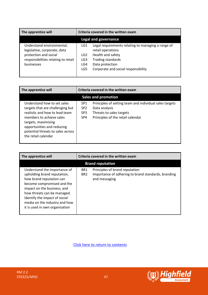| The apprentice will                                                                | Criteria covered in the written exam |                                                                                              |  |  |
|------------------------------------------------------------------------------------|--------------------------------------|----------------------------------------------------------------------------------------------|--|--|
| Legal and governance                                                               |                                      |                                                                                              |  |  |
| Understand environmental,<br>legislative, corporate, data<br>protection and social | LG1<br>LG2                           | Legal requirements relating to managing a range of<br>retail operations<br>Health and safety |  |  |
| responsibilities relating to retail<br>businesses                                  | LG3<br>LG4<br>LG5                    | <b>Trading standards</b><br>Data protection<br>Corporate and social responsibility           |  |  |

| The apprentice will                                                                                                                                                                                                                            | Criteria covered in the written exam                                     |                                                                                                                                           |  |  |  |
|------------------------------------------------------------------------------------------------------------------------------------------------------------------------------------------------------------------------------------------------|--------------------------------------------------------------------------|-------------------------------------------------------------------------------------------------------------------------------------------|--|--|--|
|                                                                                                                                                                                                                                                | <b>Sales and promotion</b>                                               |                                                                                                                                           |  |  |  |
| Understand how to set sales<br>targets that are challenging but<br>realistic and how to lead team<br>members to achieve sales<br>targets, maximising<br>opportunities and reducing<br>potential threats to sales across<br>the retail calendar | SP <sub>1</sub><br>SP <sub>2</sub><br>SP <sub>3</sub><br>SP <sub>4</sub> | Principles of setting team and individual sales targets<br>Data analysis<br>Threats to sales targets<br>Principles of the retail calendar |  |  |  |

| The apprentice will                                                                                                                                                                                                                                                                     |                                    | Criteria covered in the written exam                                                                   |  |  |  |
|-----------------------------------------------------------------------------------------------------------------------------------------------------------------------------------------------------------------------------------------------------------------------------------------|------------------------------------|--------------------------------------------------------------------------------------------------------|--|--|--|
|                                                                                                                                                                                                                                                                                         | <b>Brand reputation</b>            |                                                                                                        |  |  |  |
| Understand the importance of<br>upholding brand reputation,<br>how brand reputation can<br>become compromised and the<br>impact on the business, and<br>how threats can be managed.<br>Identify the impact of social<br>media on the industry and how<br>it is used in own organisation | BR <sub>1</sub><br>BR <sub>2</sub> | Principles of brand reputation<br>Importance of adhering to brand standards, branding<br>and messaging |  |  |  |

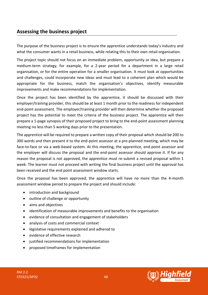# <span id="page-47-0"></span>**Assessing the business project**

The purpose of the business project is to ensure the apprentice understands today's industry and what the consumer wants in a retail business, while relating this to their own retail organisation.

The project topic should not focus on an immediate problem, opportunity or idea, but prepare a medium-term strategy, for example, for a 2-year period for a department in a large retail organisation, or for the entire operation for a smaller organisation. It must look at opportunities and challenges, could incorporate new ideas and must lead to a coherent plan which would be appropriate for the business, match the organisation's objectives, identify measurable improvements and make recommendations for implementation.

Once the project has been identified by the apprentice, it should be discussed with their employer/training provider, this should be at least 1 month prior to the readiness for independent end-point assessment. The employer/training provider will then determine whether the proposed project has the potential to meet the criteria of the business project. The apprentice will then prepare a 1-page synopsis of their proposed project to bring to the end-point assessment planning meeting no less than 5 working days prior to the presentation.

The apprentice will be required to prepare a written copy of their proposal which should be 200 to 300 words and then present it to the end-point assessor at a pre-planned meeting, which may be face-to-face or via a web-based system. At this meeting, the apprentice, end-point assessor and the employer will discuss the proposal and the end-point assessor should approve it. If for any reason the proposal is not approved, the apprentice must re-submit a revised proposal within 1 week. The learner must not proceed with writing the final business project until the approval has been received and the end point assessment window starts.

Once the proposal has been approved, the apprentice will have no more than the 4-month assessment window period to prepare the project and should include:

- introduction and background
- outline of challenge or opportunity
- aims and objectives
- identification of measurable improvements and benefits to the organisation
- evidence of consultation and engagement of stakeholders
- analysis of costs and commercial context
- legislative requirements explained and adhered to
- evidence of effective research
- justified recommendations for implementation
- proposed timeframes for implementation

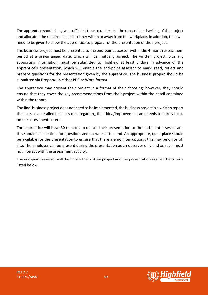The apprentice should be given sufficient time to undertake the research and writing of the project and allocated the required facilities either within or away from the workplace. In addition, time will need to be given to allow the apprentice to prepare for the presentation of their project.

The business project must be presented to the end-point assessor within the 4-month assessment period at a pre-arranged date, which will be mutually agreed. The written project, plus any supporting information, must be submitted to Highfield at least 5 days in advance of the apprentice's presentation, which will enable the end-point assessor to mark, read, reflect and prepare questions for the presentation given by the apprentice. The business project should be submitted via Dropbox, in either PDF or Word format.

The apprentice may present their project in a format of their choosing; however, they should ensure that they cover the key recommendations from their project within the detail contained within the report.

The final business project does not need to be implemented, the business project is a written report that acts as a detailed business case regarding their idea/improvement and needs to purely focus on the assessment criteria.

The apprentice will have 30 minutes to deliver their presentation to the end-point assessor and this should include time for questions and answers at the end. An appropriate, quiet place should be available for the presentation to ensure that there are no interruptions; this may be on or off site. The employer can be present during the presentation as an observer only and as such, must not interact with the assessment activity.

The end-point assessor will then mark the written project and the presentation against the criteria listed below.

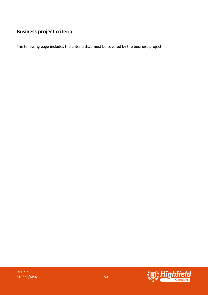The following page includes the criteria that must be covered by the business project.

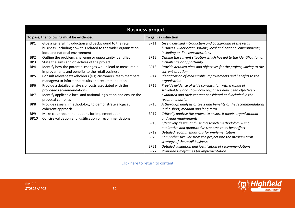| <b>Business project</b>                  |                                                                                                                                                               |                       |                                                                                                                                                                  |  |
|------------------------------------------|---------------------------------------------------------------------------------------------------------------------------------------------------------------|-----------------------|------------------------------------------------------------------------------------------------------------------------------------------------------------------|--|
| To pass, the following must be evidenced |                                                                                                                                                               | To gain a distinction |                                                                                                                                                                  |  |
| BP1                                      | Give a general introduction and background to the retail<br>business, including how this related to the wider organisation,<br>local and national environment | <b>BP11</b>           | Give a detailed introduction and background of the retail<br>business, wider organisations, local and national environments,<br>including on-line considerations |  |
| BP <sub>2</sub>                          | Outline the problem, challenge or opportunity identified                                                                                                      | <b>BP12</b>           | Outline the current situation which has led to the identification of                                                                                             |  |
| BP3                                      | State the aims and objectives of the project                                                                                                                  |                       | a challenge or opportunity                                                                                                                                       |  |
| BP4                                      | Identify how the potential changes would lead to measurable<br>improvements and benefits to the retail business                                               | <b>BP13</b>           | Provide detailed aims and objectives for the project, linking to the<br>current situation                                                                        |  |
| BP <sub>5</sub>                          | Consult relevant stakeholders (e.g. customers, team members,<br>managers) to inform the results and recommendations                                           | <b>BP14</b>           | Identification of measurable improvements and benefits to the<br>organisation                                                                                    |  |
| BP <sub>6</sub>                          | Provide a detailed analysis of costs associated with the<br>proposed recommendations                                                                          | <b>BP15</b>           | Provide evidence of wide consultation with a range of<br>stakeholders and show how responses have been effectively                                               |  |
| BP7                                      | Identify applicable local and national legislation and ensure the<br>proposal complies                                                                        |                       | evaluated and their content considered and included in the<br>recommendation                                                                                     |  |
| BP8                                      | Provide research methodology to demonstrate a logical,<br>coherent approach                                                                                   | <b>BP16</b>           | A thorough analysis of costs and benefits of the recommendations<br>in the short, medium and long term                                                           |  |
| BP <sub>9</sub><br><b>BP10</b>           | Make clear recommendations for implementation<br>Concise validation and justification of recommendations                                                      | <b>BP17</b>           | Critically analyse the project to ensure it meets organisational<br>and legal requirements                                                                       |  |
|                                          |                                                                                                                                                               | <b>BP18</b>           | Effectively design and use a research methodology using<br>qualitative and quantitative research to its best effect                                              |  |
|                                          |                                                                                                                                                               | <b>BP19</b>           | Detailed recommendations for implementation                                                                                                                      |  |
|                                          |                                                                                                                                                               | <b>BP20</b>           | Comprehensive link from the project into the medium term                                                                                                         |  |
|                                          |                                                                                                                                                               |                       | strategy of the retail business                                                                                                                                  |  |
|                                          |                                                                                                                                                               | <b>BP21</b>           | Detailed validation and justification of recommendations                                                                                                         |  |
|                                          |                                                                                                                                                               | <b>BP22</b>           | Proposed timeframes for implementation                                                                                                                           |  |

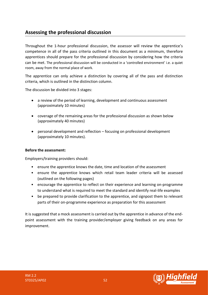# <span id="page-51-0"></span>**Assessing the professional discussion**

Throughout the 1-hour professional discussion, the assessor will review the apprentice's competence in all of the pass criteria outlined in this document as a minimum, therefore apprentices should prepare for the professional discussion by considering how the criteria can be met. The professional discussion will be conducted in a 'controlled environment' i.e. a quiet room, away from the normal place of work.

The apprentice can only achieve a distinction by covering all of the pass and distinction criteria, which is outlined in the distinction column.

The discussion be divided into 3 stages:

- a review of the period of learning, development and continuous assessment (approximately 10 minutes)
- coverage of the remaining areas for the professional discussion as shown below (approximately 40 minutes)
- personal development and reflection focusing on professional development (approximately 10 minutes).

## **Before the assessment:**

Employers/training providers should:

- ensure the apprentice knows the date, time and location of the assessment
- ensure the apprentice knows which retail team leader criteria will be assessed (outlined on the following pages)
- encourage the apprentice to reflect on their experience and learning on-programme to understand what is required to meet the standard and identify real-life examples
- be prepared to provide clarification to the apprentice, and signpost them to relevant parts of their on-programme experience as preparation for this assessment

It is suggested that a mock assessment is carried out by the apprentice in advance of the endpoint assessment with the training provider/employer giving feedback on any areas for improvement.



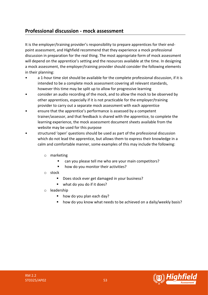# **Professional discussion - mock assessment**

It is the employer/training provider's responsibility to prepare apprentices for their endpoint assessment, and Highfield recommend that they experience a mock professional discussion in preparation for the real thing. The most appropriate form of mock assessment will depend on the apprentice's setting and the resources available at the time. In designing a mock assessment, the employer/training provider should consider the following elements in their planning:

- a 1-hour time slot should be available for the complete professional discussion, if it is intended to be a complete mock assessment covering all relevant standards, however this time may be split up to allow for progressive learning
- consider an audio recording of the mock, and to allow the mock to be observed by other apprentices, especially if it is not practicable for the employer/training provider to carry out a separate mock assessment with each apprentice
- ensure that the apprentice's performance is assessed by a competent trainer/assessor, and that feedback is shared with the apprentice, to complete the learning experience, the mock assessment document sheets available from the website may be used for this purpose
- structured 'open' questions should be used as part of the professional discussion which do not lead the apprentice, but allows them to express their knowledge in a calm and comfortable manner, some examples of this may include the following:
	- o marketing
		- can you please tell me who are your main competitors?
		- how do you monitor their activities?
	- o stock
		- Does stock ever get damaged in your business?
		- what do you do if it does?
	- o leadership
		- how do you plan each day?
		- how do you know what needs to be achieved on a daily/weekly basis?



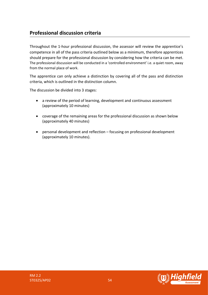# **Professional discussion criteria**

Throughout the 1-hour professional discussion, the assessor will review the apprentice's competence in all of the pass criteria outlined below as a minimum, therefore apprentices should prepare for the professional discussion by considering how the criteria can be met. The professional discussion will be conducted in a 'controlled environment' i.e. a quiet room, away from the normal place of work.

The apprentice can only achieve a distinction by covering all of the pass and distinction criteria, which is outlined in the distinction column.

The discussion be divided into 3 stages:

- a review of the period of learning, development and continuous assessment (approximately 10 minutes)
- coverage of the remaining areas for the professional discussion as shown below (approximately 40 minutes)
- personal development and reflection focusing on professional development (approximately 10 minutes).